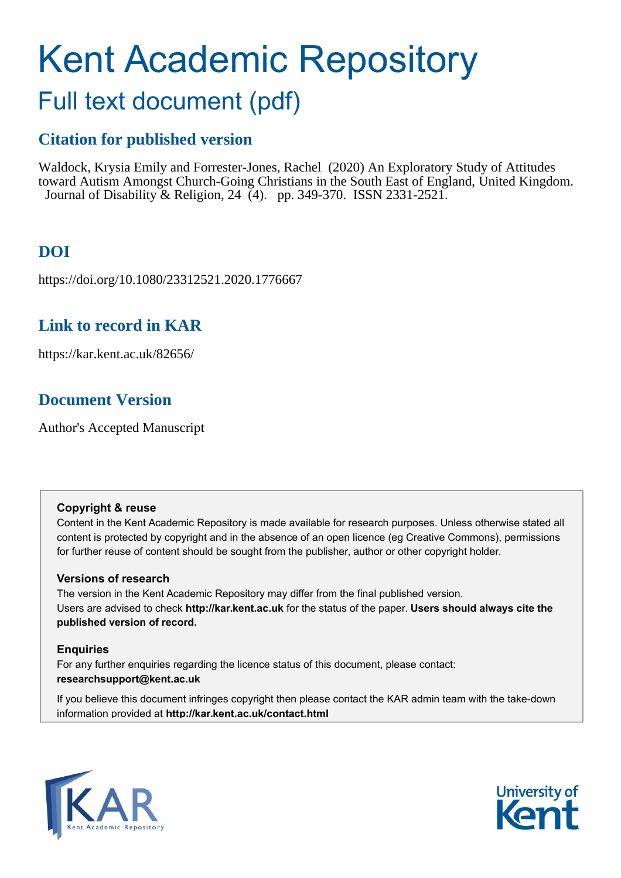# Kent Academic Repository

## Full text document (pdf)

## **Citation for published version**

Waldock, Krysia Emily and Forrester-Jones, Rachel (2020) An Exploratory Study of Attitudes toward Autism Amongst Church-Going Christians in the South East of England, United Kingdom. Journal of Disability & Religion, 24 (4). pp. 349-370. ISSN 2331-2521.

## **DOI**

https://doi.org/10.1080/23312521.2020.1776667

### **Link to record in KAR**

https://kar.kent.ac.uk/82656/

## **Document Version**

Author's Accepted Manuscript

#### **Copyright & reuse**

Content in the Kent Academic Repository is made available for research purposes. Unless otherwise stated all content is protected by copyright and in the absence of an open licence (eg Creative Commons), permissions for further reuse of content should be sought from the publisher, author or other copyright holder.

#### **Versions of research**

The version in the Kent Academic Repository may differ from the final published version. Users are advised to check **http://kar.kent.ac.uk** for the status of the paper. **Users should always cite the published version of record.**

#### **Enquiries**

For any further enquiries regarding the licence status of this document, please contact: **researchsupport@kent.ac.uk**

If you believe this document infringes copyright then please contact the KAR admin team with the take-down information provided at **http://kar.kent.ac.uk/contact.html**



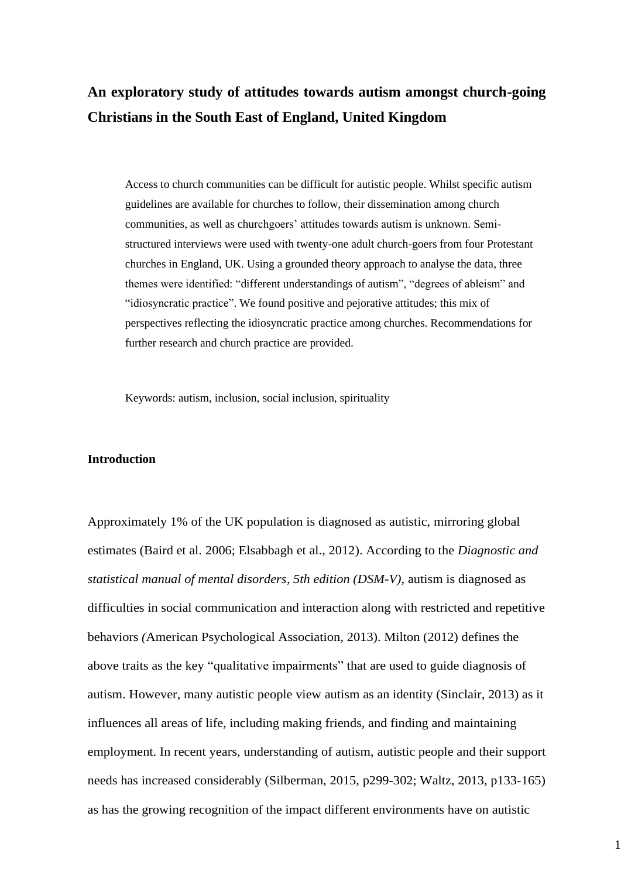## **An exploratory study of attitudes towards autism amongst church-going Christians in the South East of England, United Kingdom**

Access to church communities can be difficult for autistic people. Whilst specific autism guidelines are available for churches to follow, their dissemination among church communities, as well as churchgoers' attitudes towards autism is unknown. Semistructured interviews were used with twenty-one adult church-goers from four Protestant churches in England, UK. Using a grounded theory approach to analyse the data, three themes were identified: "different understandings of autism", "degrees of ableism" and "idiosyncratic practice". We found positive and pejorative attitudes; this mix of perspectives reflecting the idiosyncratic practice among churches. Recommendations for further research and church practice are provided.

Keywords: autism, inclusion, social inclusion, spirituality

#### **Introduction**

Approximately 1% of the UK population is diagnosed as autistic, mirroring global estimates (Baird et al. 2006; Elsabbagh et al., 2012). According to the *Diagnostic and statistical manual of mental disorders*, *5th edition (DSM-V)*, autism is diagnosed as difficulties in social communication and interaction along with restricted and repetitive behaviors *(*American Psychological Association, 2013). Milton (2012) defines the above traits as the key "qualitative impairments" that are used to guide diagnosis of autism. However, many autistic people view autism as an identity (Sinclair, 2013) as it influences all areas of life, including making friends, and finding and maintaining employment. In recent years, understanding of autism, autistic people and their support needs has increased considerably (Silberman, 2015, p299-302; Waltz, 2013, p133-165) as has the growing recognition of the impact different environments have on autistic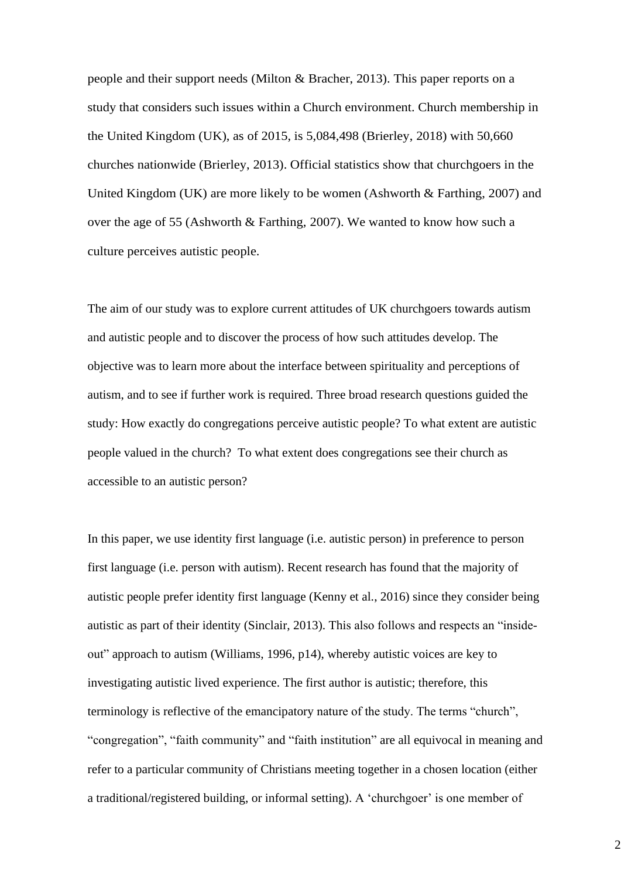people and their support needs (Milton & Bracher, 2013). This paper reports on a study that considers such issues within a Church environment. Church membership in the United Kingdom (UK), as of 2015, is 5,084,498 (Brierley, 2018) with 50,660 churches nationwide (Brierley, 2013). Official statistics show that churchgoers in the United Kingdom (UK) are more likely to be women (Ashworth & Farthing, 2007) and over the age of 55 (Ashworth & Farthing, 2007). We wanted to know how such a culture perceives autistic people.

The aim of our study was to explore current attitudes of UK churchgoers towards autism and autistic people and to discover the process of how such attitudes develop. The objective was to learn more about the interface between spirituality and perceptions of autism, and to see if further work is required. Three broad research questions guided the study: How exactly do congregations perceive autistic people? To what extent are autistic people valued in the church? To what extent does congregations see their church as accessible to an autistic person?

In this paper, we use identity first language (i.e. autistic person) in preference to person first language (i.e. person with autism). Recent research has found that the majority of autistic people prefer identity first language (Kenny et al., 2016) since they consider being autistic as part of their identity (Sinclair, 2013). This also follows and respects an "insideout" approach to autism (Williams, 1996, p14), whereby autistic voices are key to investigating autistic lived experience. The first author is autistic; therefore, this terminology is reflective of the emancipatory nature of the study. The terms "church", "congregation", "faith community" and "faith institution" are all equivocal in meaning and refer to a particular community of Christians meeting together in a chosen location (either a traditional/registered building, or informal setting). A 'churchgoer' is one member of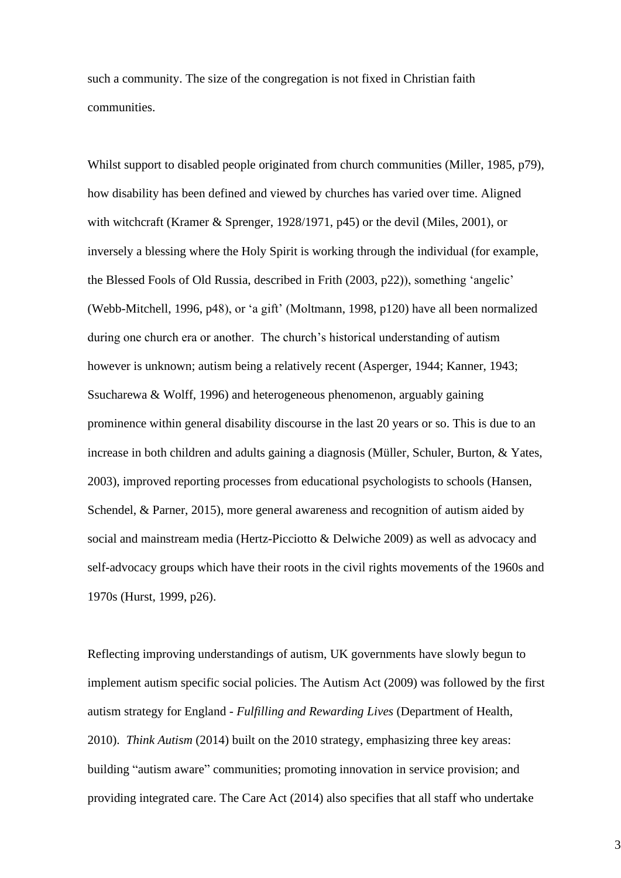such a community. The size of the congregation is not fixed in Christian faith communities.

Whilst support to disabled people originated from church communities (Miller, 1985, p79), how disability has been defined and viewed by churches has varied over time. Aligned with witchcraft (Kramer & Sprenger, 1928/1971, p45) or the devil (Miles, 2001), or inversely a blessing where the Holy Spirit is working through the individual (for example, the Blessed Fools of Old Russia, described in Frith (2003, p22)), something 'angelic' (Webb-Mitchell, 1996, p48), or 'a gift' (Moltmann, 1998, p120) have all been normalized during one church era or another. The church's historical understanding of autism however is unknown; autism being a relatively recent (Asperger, 1944; Kanner, 1943; Ssucharewa & Wolff, 1996) and heterogeneous phenomenon, arguably gaining prominence within general disability discourse in the last 20 years or so. This is due to an increase in both children and adults gaining a diagnosis (Müller, Schuler, Burton, & Yates, 2003), improved reporting processes from educational psychologists to schools (Hansen, Schendel, & Parner, 2015), more general awareness and recognition of autism aided by social and mainstream media (Hertz-Picciotto & Delwiche 2009) as well as advocacy and self-advocacy groups which have their roots in the civil rights movements of the 1960s and 1970s (Hurst, 1999, p26).

Reflecting improving understandings of autism, UK governments have slowly begun to implement autism specific social policies. The Autism Act (2009) was followed by the first autism strategy for England - *Fulfilling and Rewarding Lives* (Department of Health, 2010). *Think Autism* (2014) built on the 2010 strategy, emphasizing three key areas: building "autism aware" communities; promoting innovation in service provision; and providing integrated care. The Care Act (2014) also specifies that all staff who undertake

3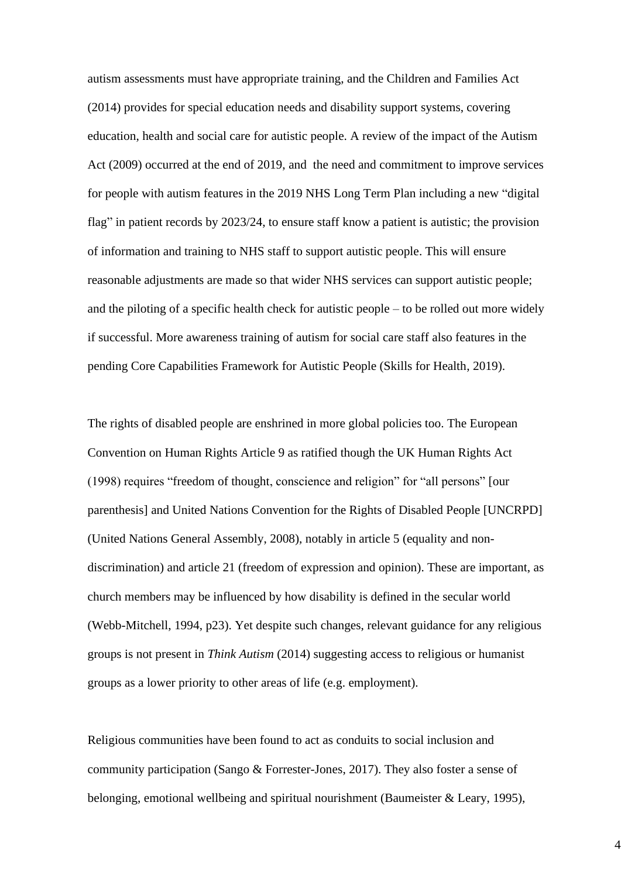autism assessments must have appropriate training, and the Children and Families Act (2014) provides for special education needs and disability support systems, covering education, health and social care for autistic people. A review of the impact of the Autism Act (2009) occurred at the end of 2019, and the need and commitment to improve services for people with autism features in the 2019 NHS Long Term Plan including a new "digital flag" in patient records by 2023/24, to ensure staff know a patient is autistic; the provision of information and training to NHS staff to support autistic people. This will ensure reasonable adjustments are made so that wider NHS services can support autistic people; and the piloting of a specific health check for autistic people – to be rolled out more widely if successful. More awareness training of autism for social care staff also features in the pending Core Capabilities Framework for Autistic People (Skills for Health, 2019).

The rights of disabled people are enshrined in more global policies too. The European Convention on Human Rights Article 9 as ratified though the UK Human Rights Act (1998) requires "freedom of thought, conscience and religion" for "all persons" [our parenthesis] and United Nations Convention for the Rights of Disabled People [UNCRPD] (United Nations General Assembly, 2008), notably in article 5 (equality and nondiscrimination) and article 21 (freedom of expression and opinion). These are important, as church members may be influenced by how disability is defined in the secular world (Webb-Mitchell, 1994, p23). Yet despite such changes, relevant guidance for any religious groups is not present in *Think Autism* (2014) suggesting access to religious or humanist groups as a lower priority to other areas of life (e.g. employment).

Religious communities have been found to act as conduits to social inclusion and community participation (Sango & Forrester-Jones, 2017). They also foster a sense of belonging, emotional wellbeing and spiritual nourishment (Baumeister & Leary, 1995),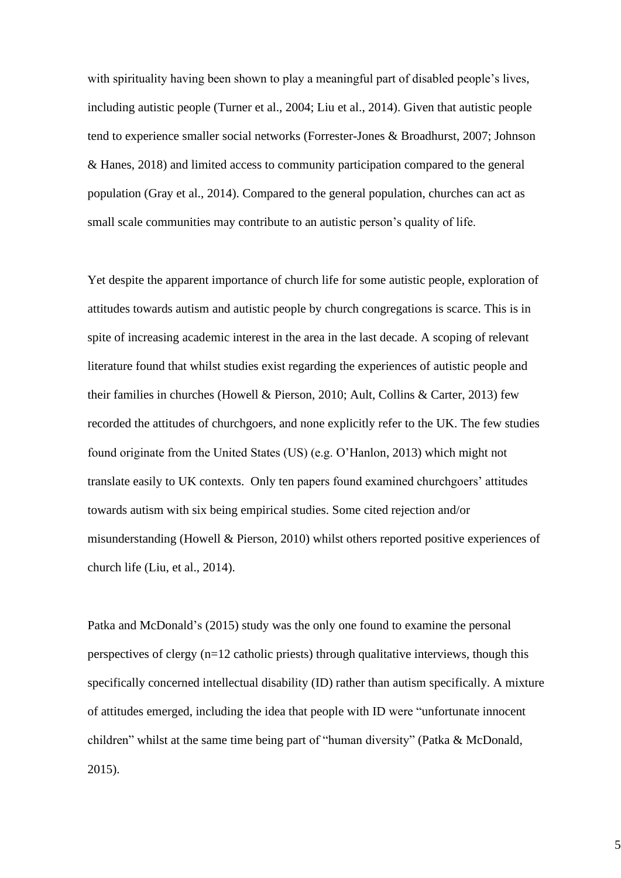with spirituality having been shown to play a meaningful part of disabled people's lives, including autistic people (Turner et al., 2004; Liu et al., 2014). Given that autistic people tend to experience smaller social networks (Forrester-Jones & Broadhurst, 2007; Johnson & Hanes, 2018) and limited access to community participation compared to the general population (Gray et al., 2014). Compared to the general population, churches can act as small scale communities may contribute to an autistic person's quality of life.

Yet despite the apparent importance of church life for some autistic people, exploration of attitudes towards autism and autistic people by church congregations is scarce. This is in spite of increasing academic interest in the area in the last decade. A scoping of relevant literature found that whilst studies exist regarding the experiences of autistic people and their families in churches (Howell & Pierson, 2010; Ault, Collins & Carter, 2013) few recorded the attitudes of churchgoers, and none explicitly refer to the UK. The few studies found originate from the United States (US) (e.g. O'Hanlon, 2013) which might not translate easily to UK contexts. Only ten papers found examined churchgoers' attitudes towards autism with six being empirical studies. Some cited rejection and/or misunderstanding (Howell & Pierson, 2010) whilst others reported positive experiences of church life (Liu, et al., 2014).

Patka and McDonald's (2015) study was the only one found to examine the personal perspectives of clergy (n=12 catholic priests) through qualitative interviews, though this specifically concerned intellectual disability (ID) rather than autism specifically. A mixture of attitudes emerged, including the idea that people with ID were "unfortunate innocent children" whilst at the same time being part of "human diversity" (Patka & McDonald, 2015).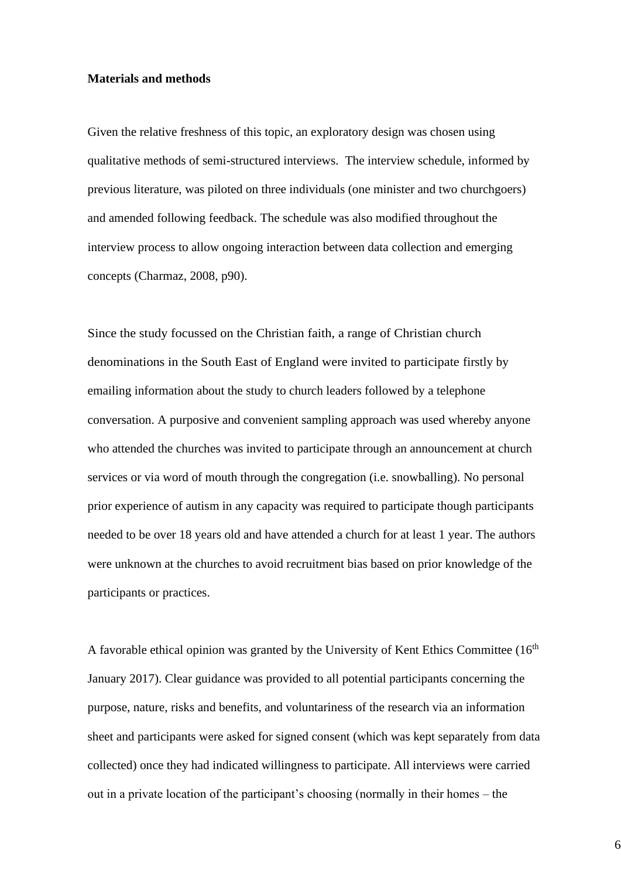#### **Materials and methods**

Given the relative freshness of this topic, an exploratory design was chosen using qualitative methods of semi-structured interviews. The interview schedule, informed by previous literature, was piloted on three individuals (one minister and two churchgoers) and amended following feedback. The schedule was also modified throughout the interview process to allow ongoing interaction between data collection and emerging concepts (Charmaz, 2008, p90).

Since the study focussed on the Christian faith, a range of Christian church denominations in the South East of England were invited to participate firstly by emailing information about the study to church leaders followed by a telephone conversation. A purposive and convenient sampling approach was used whereby anyone who attended the churches was invited to participate through an announcement at church services or via word of mouth through the congregation (i.e. snowballing). No personal prior experience of autism in any capacity was required to participate though participants needed to be over 18 years old and have attended a church for at least 1 year. The authors were unknown at the churches to avoid recruitment bias based on prior knowledge of the participants or practices.

A favorable ethical opinion was granted by the University of Kent Ethics Committee  $(16<sup>th</sup>)$ January 2017). Clear guidance was provided to all potential participants concerning the purpose, nature, risks and benefits, and voluntariness of the research via an information sheet and participants were asked for signed consent (which was kept separately from data collected) once they had indicated willingness to participate. All interviews were carried out in a private location of the participant's choosing (normally in their homes – the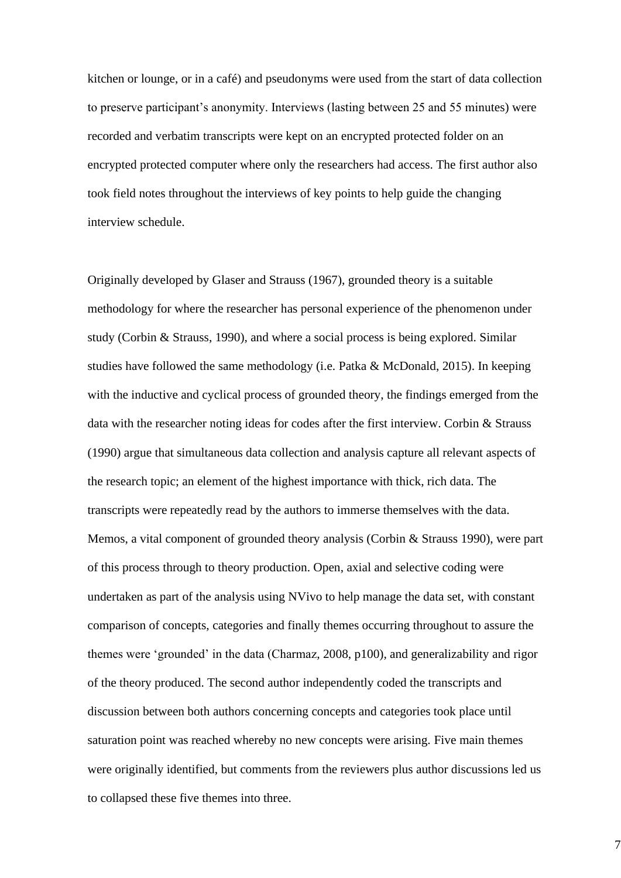kitchen or lounge, or in a café) and pseudonyms were used from the start of data collection to preserve participant's anonymity. Interviews (lasting between 25 and 55 minutes) were recorded and verbatim transcripts were kept on an encrypted protected folder on an encrypted protected computer where only the researchers had access. The first author also took field notes throughout the interviews of key points to help guide the changing interview schedule.

Originally developed by Glaser and Strauss (1967), grounded theory is a suitable methodology for where the researcher has personal experience of the phenomenon under study (Corbin & Strauss, 1990), and where a social process is being explored. Similar studies have followed the same methodology (i.e. Patka & McDonald, 2015). In keeping with the inductive and cyclical process of grounded theory, the findings emerged from the data with the researcher noting ideas for codes after the first interview. Corbin & Strauss (1990) argue that simultaneous data collection and analysis capture all relevant aspects of the research topic; an element of the highest importance with thick, rich data. The transcripts were repeatedly read by the authors to immerse themselves with the data. Memos, a vital component of grounded theory analysis (Corbin & Strauss 1990), were part of this process through to theory production. Open, axial and selective coding were undertaken as part of the analysis using NVivo to help manage the data set, with constant comparison of concepts, categories and finally themes occurring throughout to assure the themes were 'grounded' in the data (Charmaz, 2008, p100), and generalizability and rigor of the theory produced. The second author independently coded the transcripts and discussion between both authors concerning concepts and categories took place until saturation point was reached whereby no new concepts were arising. Five main themes were originally identified, but comments from the reviewers plus author discussions led us to collapsed these five themes into three.

7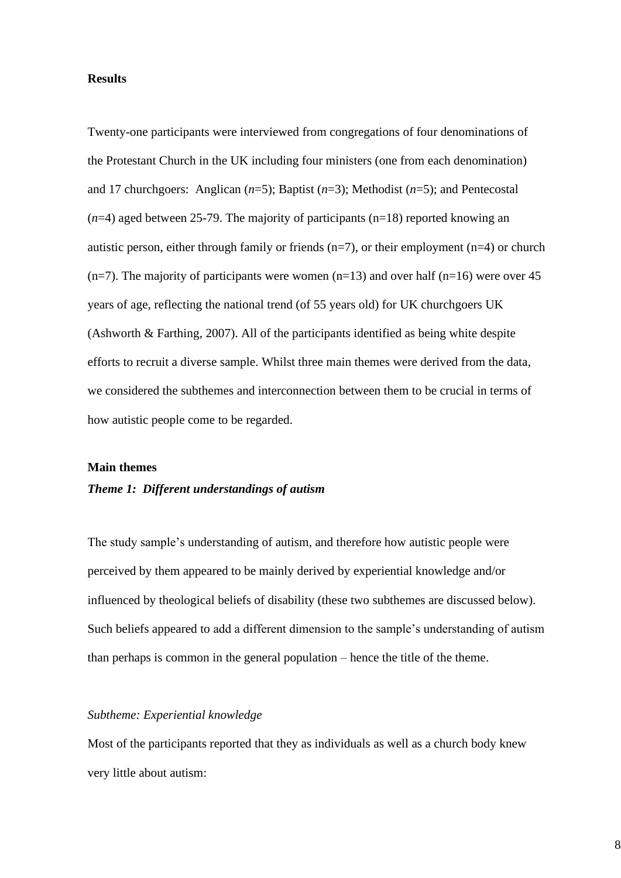#### **Results**

Twenty-one participants were interviewed from congregations of four denominations of the Protestant Church in the UK including four ministers (one from each denomination) and 17 churchgoers: Anglican (*n*=5); Baptist (*n*=3); Methodist (*n*=5); and Pentecostal (*n*=4) aged between 25-79. The majority of participants (n=18) reported knowing an autistic person, either through family or friends  $(n=7)$ , or their employment  $(n=4)$  or church  $(n=7)$ . The majority of participants were women  $(n=13)$  and over half  $(n=16)$  were over 45 years of age, reflecting the national trend (of 55 years old) for UK churchgoers UK (Ashworth & Farthing, 2007). All of the participants identified as being white despite efforts to recruit a diverse sample. Whilst three main themes were derived from the data, we considered the subthemes and interconnection between them to be crucial in terms of how autistic people come to be regarded.

#### **Main themes**

#### *Theme 1: Different understandings of autism*

The study sample's understanding of autism, and therefore how autistic people were perceived by them appeared to be mainly derived by experiential knowledge and/or influenced by theological beliefs of disability (these two subthemes are discussed below). Such beliefs appeared to add a different dimension to the sample's understanding of autism than perhaps is common in the general population – hence the title of the theme.

#### *Subtheme: Experiential knowledge*

Most of the participants reported that they as individuals as well as a church body knew very little about autism: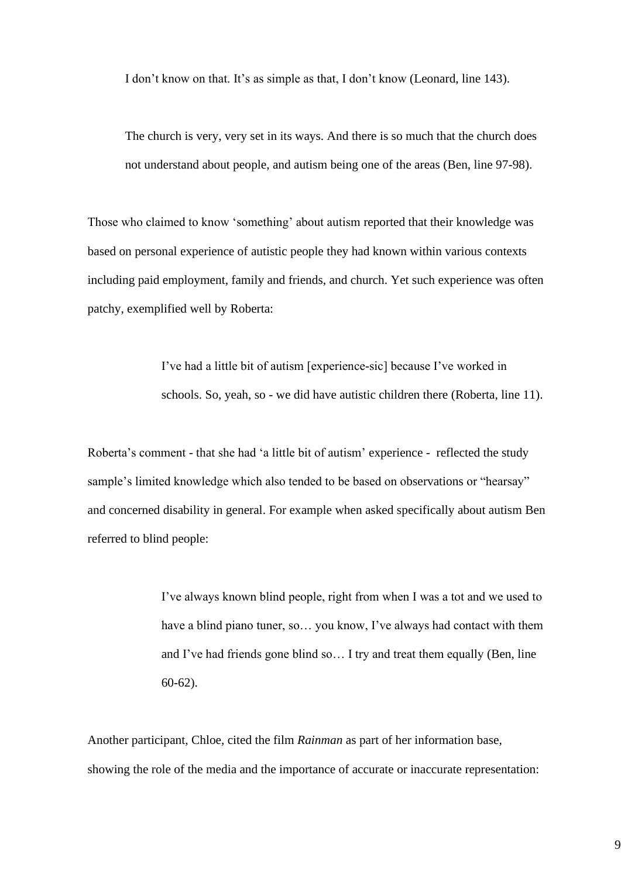I don't know on that. It's as simple as that, I don't know (Leonard, line 143).

The church is very, very set in its ways. And there is so much that the church does not understand about people, and autism being one of the areas (Ben, line 97-98).

Those who claimed to know 'something' about autism reported that their knowledge was based on personal experience of autistic people they had known within various contexts including paid employment, family and friends, and church. Yet such experience was often patchy, exemplified well by Roberta:

> I've had a little bit of autism [experience-sic] because I've worked in schools. So, yeah, so - we did have autistic children there (Roberta, line 11).

Roberta's comment - that she had 'a little bit of autism' experience - reflected the study sample's limited knowledge which also tended to be based on observations or "hearsay" and concerned disability in general. For example when asked specifically about autism Ben referred to blind people:

> I've always known blind people, right from when I was a tot and we used to have a blind piano tuner, so… you know, I've always had contact with them and I've had friends gone blind so… I try and treat them equally (Ben, line 60-62).

Another participant, Chloe, cited the film *Rainman* as part of her information base, showing the role of the media and the importance of accurate or inaccurate representation: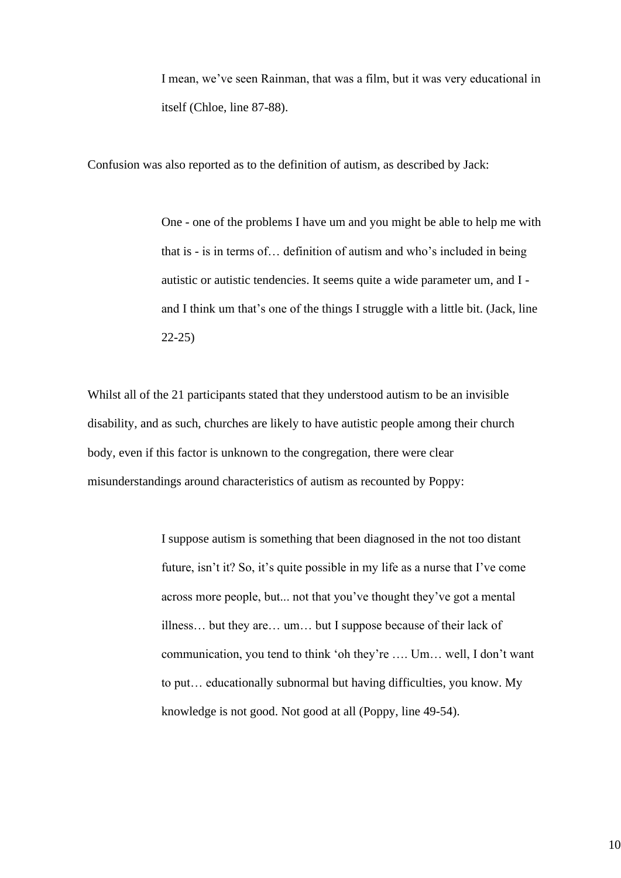I mean, we've seen Rainman, that was a film, but it was very educational in itself (Chloe, line 87-88).

Confusion was also reported as to the definition of autism, as described by Jack:

One - one of the problems I have um and you might be able to help me with that is - is in terms of… definition of autism and who's included in being autistic or autistic tendencies. It seems quite a wide parameter um, and I and I think um that's one of the things I struggle with a little bit. (Jack, line 22-25)

Whilst all of the 21 participants stated that they understood autism to be an invisible disability, and as such, churches are likely to have autistic people among their church body, even if this factor is unknown to the congregation, there were clear misunderstandings around characteristics of autism as recounted by Poppy:

> I suppose autism is something that been diagnosed in the not too distant future, isn't it? So, it's quite possible in my life as a nurse that I've come across more people, but... not that you've thought they've got a mental illness… but they are… um… but I suppose because of their lack of communication, you tend to think 'oh they're …. Um… well, I don't want to put… educationally subnormal but having difficulties, you know. My knowledge is not good. Not good at all (Poppy, line 49-54).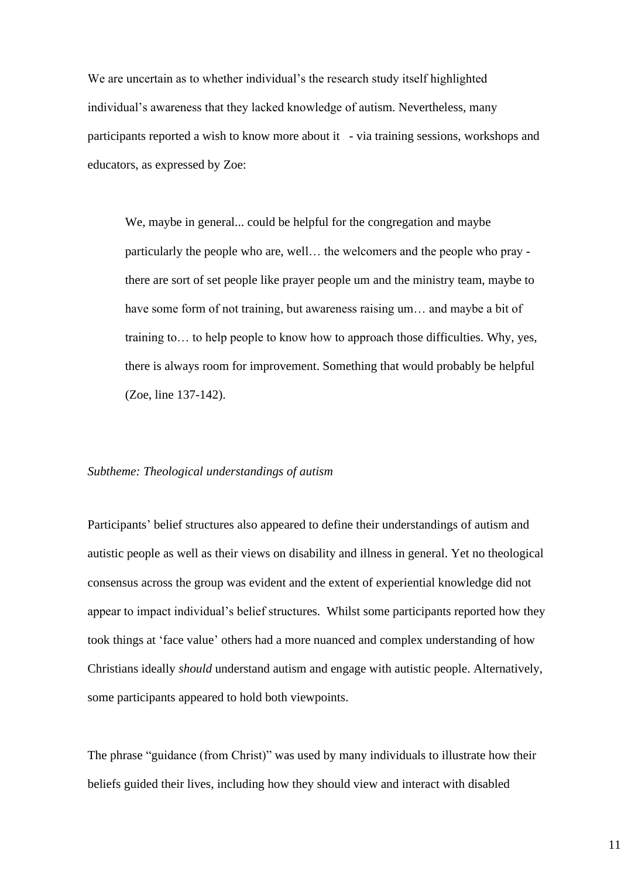We are uncertain as to whether individual's the research study itself highlighted individual's awareness that they lacked knowledge of autism. Nevertheless, many participants reported a wish to know more about it - via training sessions, workshops and educators, as expressed by Zoe:

We, maybe in general... could be helpful for the congregation and maybe particularly the people who are, well… the welcomers and the people who pray there are sort of set people like prayer people um and the ministry team, maybe to have some form of not training, but awareness raising um... and maybe a bit of training to… to help people to know how to approach those difficulties. Why, yes, there is always room for improvement. Something that would probably be helpful (Zoe, line 137-142).

#### *Subtheme: Theological understandings of autism*

Participants' belief structures also appeared to define their understandings of autism and autistic people as well as their views on disability and illness in general. Yet no theological consensus across the group was evident and the extent of experiential knowledge did not appear to impact individual's belief structures. Whilst some participants reported how they took things at 'face value' others had a more nuanced and complex understanding of how Christians ideally *should* understand autism and engage with autistic people. Alternatively, some participants appeared to hold both viewpoints.

The phrase "guidance (from Christ)" was used by many individuals to illustrate how their beliefs guided their lives, including how they should view and interact with disabled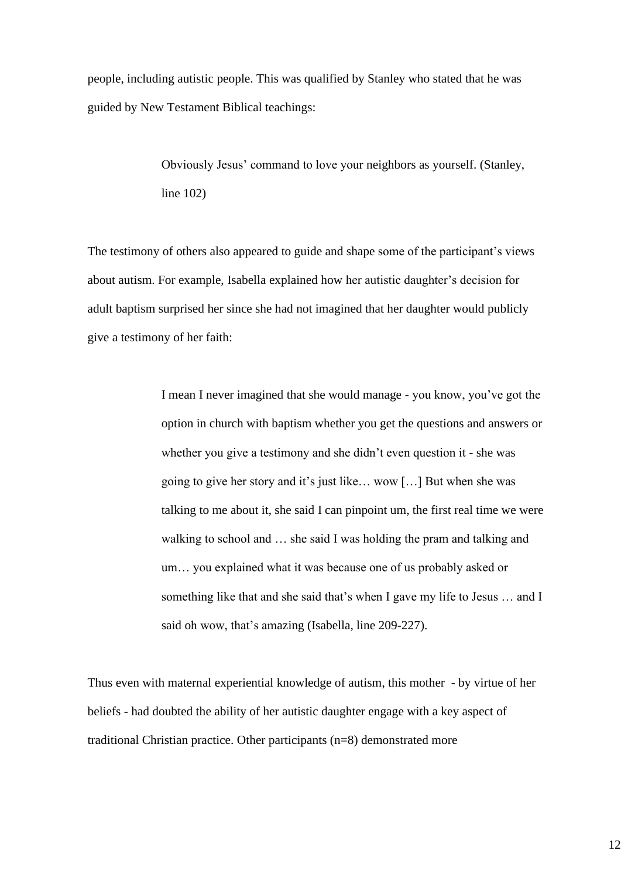people, including autistic people. This was qualified by Stanley who stated that he was guided by New Testament Biblical teachings:

> Obviously Jesus' command to love your neighbors as yourself. (Stanley, line 102)

The testimony of others also appeared to guide and shape some of the participant's views about autism. For example, Isabella explained how her autistic daughter's decision for adult baptism surprised her since she had not imagined that her daughter would publicly give a testimony of her faith:

> I mean I never imagined that she would manage - you know, you've got the option in church with baptism whether you get the questions and answers or whether you give a testimony and she didn't even question it - she was going to give her story and it's just like… wow […] But when she was talking to me about it, she said I can pinpoint um, the first real time we were walking to school and … she said I was holding the pram and talking and um… you explained what it was because one of us probably asked or something like that and she said that's when I gave my life to Jesus … and I said oh wow, that's amazing (Isabella, line 209-227).

Thus even with maternal experiential knowledge of autism, this mother - by virtue of her beliefs - had doubted the ability of her autistic daughter engage with a key aspect of traditional Christian practice. Other participants (n=8) demonstrated more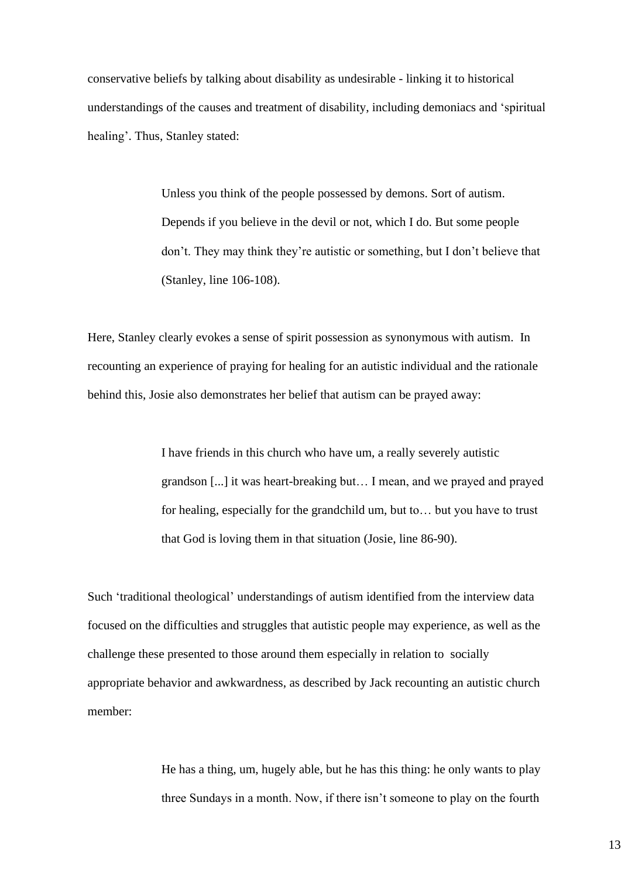conservative beliefs by talking about disability as undesirable - linking it to historical understandings of the causes and treatment of disability, including demoniacs and 'spiritual healing'. Thus, Stanley stated:

> Unless you think of the people possessed by demons. Sort of autism. Depends if you believe in the devil or not, which I do. But some people don't. They may think they're autistic or something, but I don't believe that (Stanley, line 106-108).

Here, Stanley clearly evokes a sense of spirit possession as synonymous with autism. In recounting an experience of praying for healing for an autistic individual and the rationale behind this, Josie also demonstrates her belief that autism can be prayed away:

> I have friends in this church who have um, a really severely autistic grandson [...] it was heart-breaking but… I mean, and we prayed and prayed for healing, especially for the grandchild um, but to… but you have to trust that God is loving them in that situation (Josie, line 86-90).

Such 'traditional theological' understandings of autism identified from the interview data focused on the difficulties and struggles that autistic people may experience, as well as the challenge these presented to those around them especially in relation to socially appropriate behavior and awkwardness, as described by Jack recounting an autistic church member:

> He has a thing, um, hugely able, but he has this thing: he only wants to play three Sundays in a month. Now, if there isn't someone to play on the fourth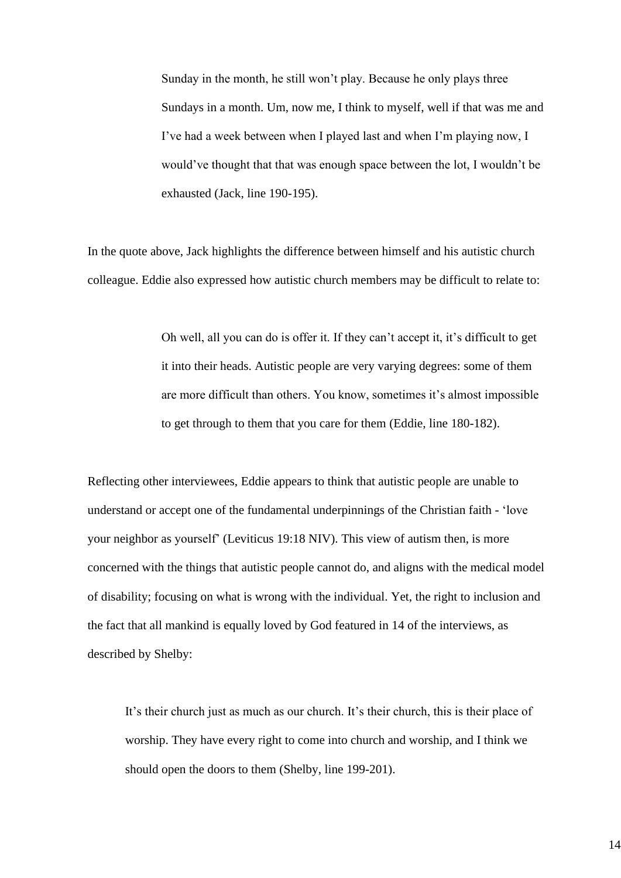Sunday in the month, he still won't play. Because he only plays three Sundays in a month. Um, now me, I think to myself, well if that was me and I've had a week between when I played last and when I'm playing now, I would've thought that that was enough space between the lot, I wouldn't be exhausted (Jack, line 190-195).

In the quote above, Jack highlights the difference between himself and his autistic church colleague. Eddie also expressed how autistic church members may be difficult to relate to:

> Oh well, all you can do is offer it. If they can't accept it, it's difficult to get it into their heads. Autistic people are very varying degrees: some of them are more difficult than others. You know, sometimes it's almost impossible to get through to them that you care for them (Eddie, line 180-182).

Reflecting other interviewees, Eddie appears to think that autistic people are unable to understand or accept one of the fundamental underpinnings of the Christian faith - 'love your neighbor as yourself' (Leviticus 19:18 NIV). This view of autism then, is more concerned with the things that autistic people cannot do, and aligns with the medical model of disability; focusing on what is wrong with the individual. Yet, the right to inclusion and the fact that all mankind is equally loved by God featured in 14 of the interviews, as described by Shelby:

It's their church just as much as our church. It's their church, this is their place of worship. They have every right to come into church and worship, and I think we should open the doors to them (Shelby, line 199-201).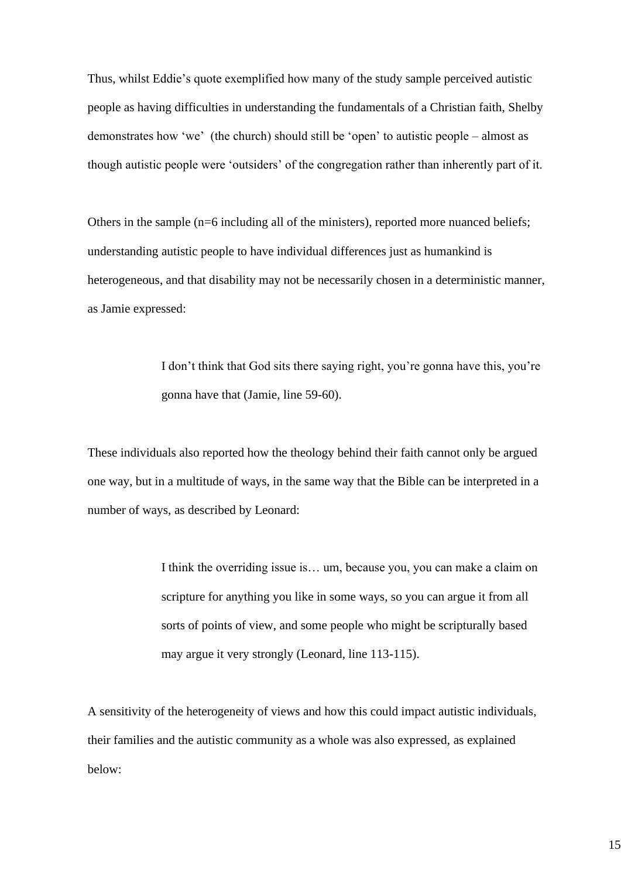Thus, whilst Eddie's quote exemplified how many of the study sample perceived autistic people as having difficulties in understanding the fundamentals of a Christian faith, Shelby demonstrates how 'we' (the church) should still be 'open' to autistic people – almost as though autistic people were 'outsiders' of the congregation rather than inherently part of it.

Others in the sample (n=6 including all of the ministers), reported more nuanced beliefs; understanding autistic people to have individual differences just as humankind is heterogeneous, and that disability may not be necessarily chosen in a deterministic manner, as Jamie expressed:

> I don't think that God sits there saying right, you're gonna have this, you're gonna have that (Jamie, line 59-60).

These individuals also reported how the theology behind their faith cannot only be argued one way, but in a multitude of ways, in the same way that the Bible can be interpreted in a number of ways, as described by Leonard:

> I think the overriding issue is… um, because you, you can make a claim on scripture for anything you like in some ways, so you can argue it from all sorts of points of view, and some people who might be scripturally based may argue it very strongly (Leonard, line 113-115).

A sensitivity of the heterogeneity of views and how this could impact autistic individuals, their families and the autistic community as a whole was also expressed, as explained below: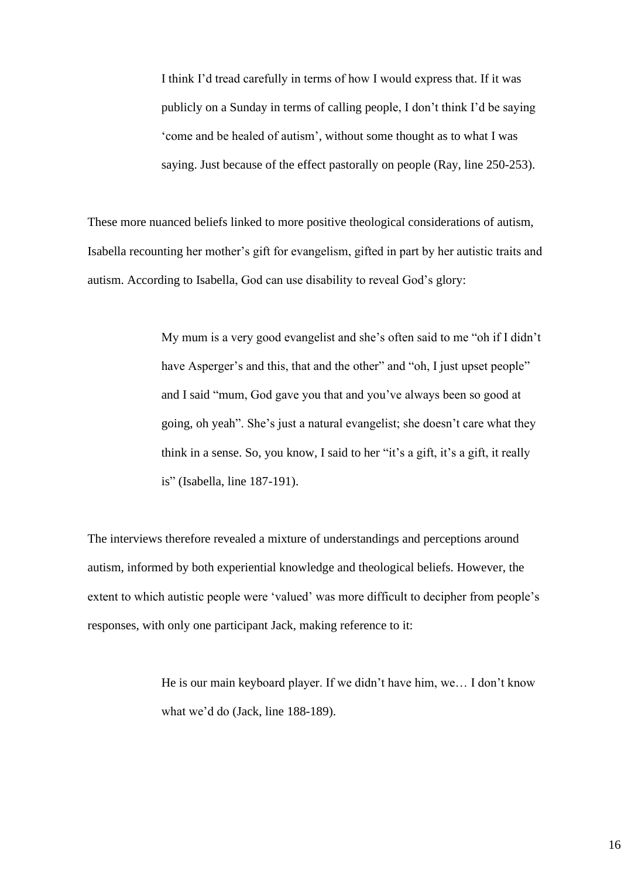I think I'd tread carefully in terms of how I would express that. If it was publicly on a Sunday in terms of calling people, I don't think I'd be saying 'come and be healed of autism', without some thought as to what I was saying. Just because of the effect pastorally on people (Ray, line 250-253).

These more nuanced beliefs linked to more positive theological considerations of autism, Isabella recounting her mother's gift for evangelism, gifted in part by her autistic traits and autism. According to Isabella, God can use disability to reveal God's glory:

> My mum is a very good evangelist and she's often said to me "oh if I didn't have Asperger's and this, that and the other" and "oh, I just upset people" and I said "mum, God gave you that and you've always been so good at going, oh yeah". She's just a natural evangelist; she doesn't care what they think in a sense. So, you know, I said to her "it's a gift, it's a gift, it really is" (Isabella, line 187-191).

The interviews therefore revealed a mixture of understandings and perceptions around autism, informed by both experiential knowledge and theological beliefs. However, the extent to which autistic people were 'valued' was more difficult to decipher from people's responses, with only one participant Jack, making reference to it:

> He is our main keyboard player. If we didn't have him, we… I don't know what we'd do (Jack, line 188-189).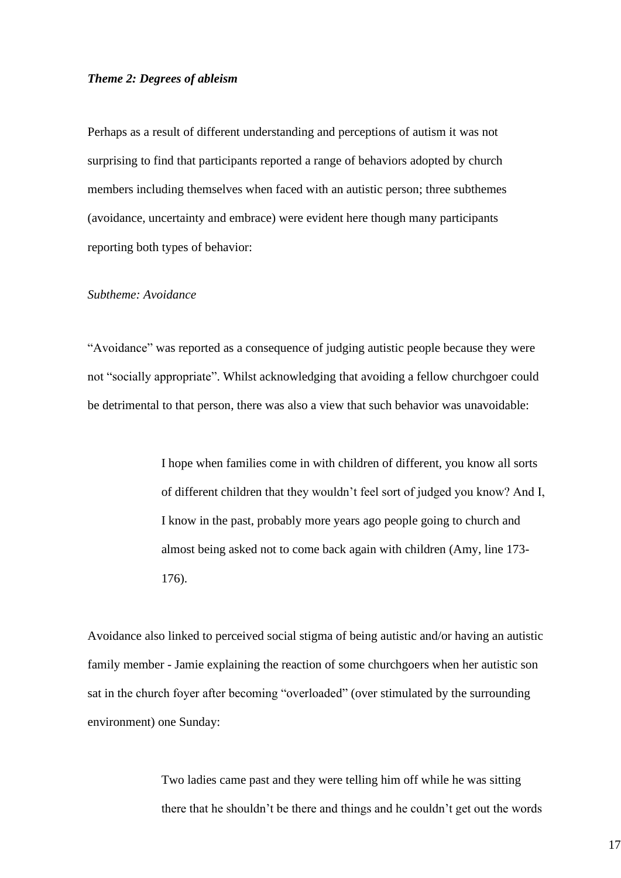#### *Theme 2: Degrees of ableism*

Perhaps as a result of different understanding and perceptions of autism it was not surprising to find that participants reported a range of behaviors adopted by church members including themselves when faced with an autistic person; three subthemes (avoidance, uncertainty and embrace) were evident here though many participants reporting both types of behavior:

#### *Subtheme: Avoidance*

"Avoidance" was reported as a consequence of judging autistic people because they were not "socially appropriate". Whilst acknowledging that avoiding a fellow churchgoer could be detrimental to that person, there was also a view that such behavior was unavoidable:

> I hope when families come in with children of different, you know all sorts of different children that they wouldn't feel sort of judged you know? And I, I know in the past, probably more years ago people going to church and almost being asked not to come back again with children (Amy, line 173- 176).

Avoidance also linked to perceived social stigma of being autistic and/or having an autistic family member - Jamie explaining the reaction of some churchgoers when her autistic son sat in the church foyer after becoming "overloaded" (over stimulated by the surrounding environment) one Sunday:

> Two ladies came past and they were telling him off while he was sitting there that he shouldn't be there and things and he couldn't get out the words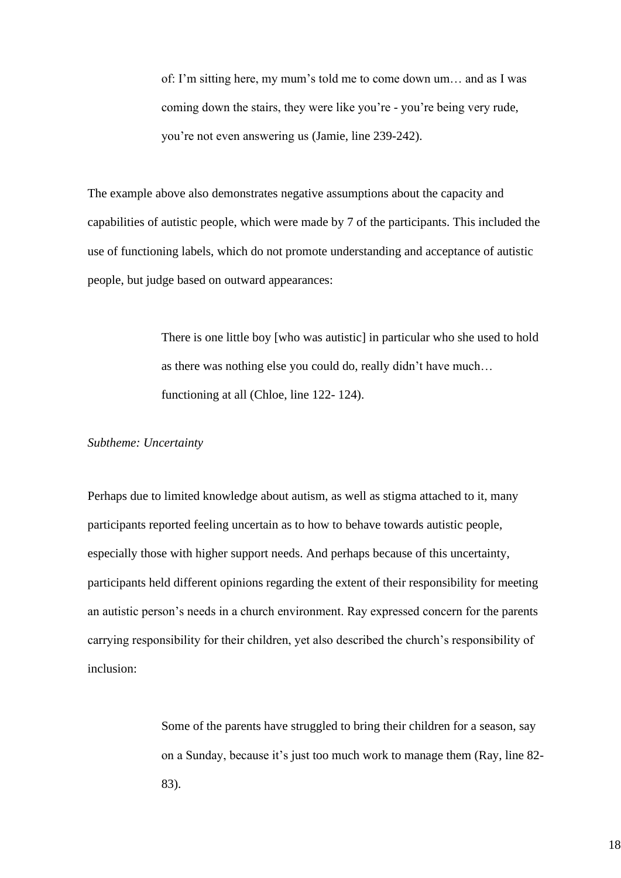of: I'm sitting here, my mum's told me to come down um… and as I was coming down the stairs, they were like you're - you're being very rude, you're not even answering us (Jamie, line 239-242).

The example above also demonstrates negative assumptions about the capacity and capabilities of autistic people, which were made by 7 of the participants. This included the use of functioning labels, which do not promote understanding and acceptance of autistic people, but judge based on outward appearances:

> There is one little boy [who was autistic] in particular who she used to hold as there was nothing else you could do, really didn't have much… functioning at all (Chloe, line 122- 124).

*Subtheme: Uncertainty*

Perhaps due to limited knowledge about autism, as well as stigma attached to it, many participants reported feeling uncertain as to how to behave towards autistic people, especially those with higher support needs. And perhaps because of this uncertainty, participants held different opinions regarding the extent of their responsibility for meeting an autistic person's needs in a church environment. Ray expressed concern for the parents carrying responsibility for their children, yet also described the church's responsibility of inclusion:

> Some of the parents have struggled to bring their children for a season, say on a Sunday, because it's just too much work to manage them (Ray, line 82- 83).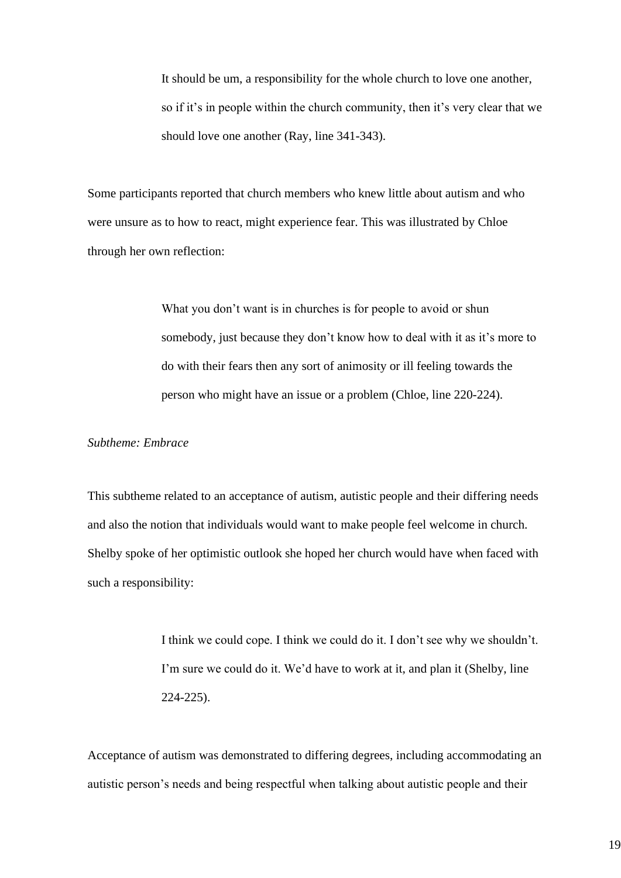It should be um, a responsibility for the whole church to love one another, so if it's in people within the church community, then it's very clear that we should love one another (Ray, line 341-343).

Some participants reported that church members who knew little about autism and who were unsure as to how to react, might experience fear. This was illustrated by Chloe through her own reflection:

> What you don't want is in churches is for people to avoid or shun somebody, just because they don't know how to deal with it as it's more to do with their fears then any sort of animosity or ill feeling towards the person who might have an issue or a problem (Chloe, line 220-224).

*Subtheme: Embrace*

This subtheme related to an acceptance of autism, autistic people and their differing needs and also the notion that individuals would want to make people feel welcome in church. Shelby spoke of her optimistic outlook she hoped her church would have when faced with such a responsibility:

> I think we could cope. I think we could do it. I don't see why we shouldn't. I'm sure we could do it. We'd have to work at it, and plan it (Shelby, line 224-225).

Acceptance of autism was demonstrated to differing degrees, including accommodating an autistic person's needs and being respectful when talking about autistic people and their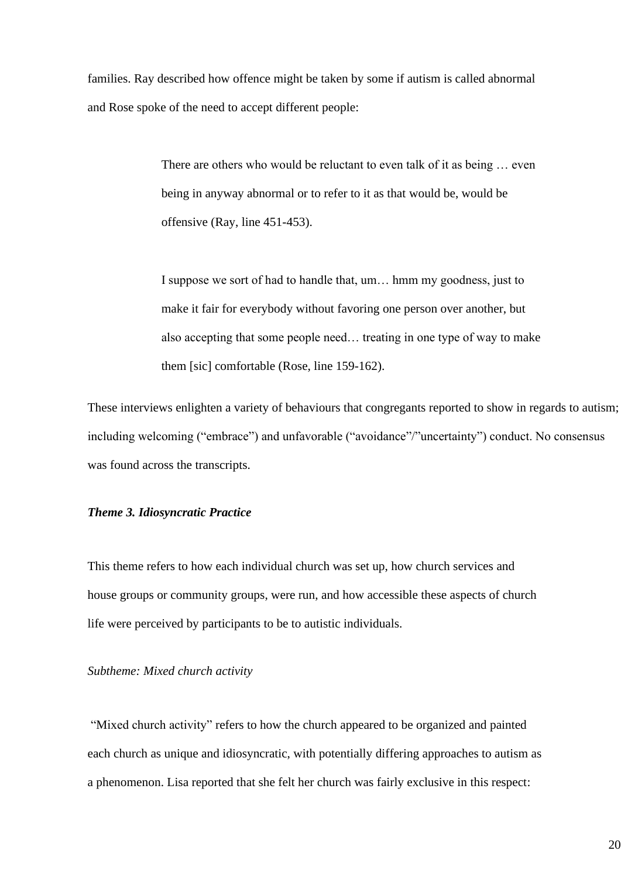families. Ray described how offence might be taken by some if autism is called abnormal and Rose spoke of the need to accept different people:

> There are others who would be reluctant to even talk of it as being … even being in anyway abnormal or to refer to it as that would be, would be offensive (Ray, line 451-453).

I suppose we sort of had to handle that, um… hmm my goodness, just to make it fair for everybody without favoring one person over another, but also accepting that some people need… treating in one type of way to make them [sic] comfortable (Rose, line 159-162).

These interviews enlighten a variety of behaviours that congregants reported to show in regards to autism; including welcoming ("embrace") and unfavorable ("avoidance"/"uncertainty") conduct. No consensus was found across the transcripts.

#### *Theme 3. Idiosyncratic Practice*

This theme refers to how each individual church was set up, how church services and house groups or community groups, were run, and how accessible these aspects of church life were perceived by participants to be to autistic individuals.

#### *Subtheme: Mixed church activity*

"Mixed church activity" refers to how the church appeared to be organized and painted each church as unique and idiosyncratic, with potentially differing approaches to autism as a phenomenon. Lisa reported that she felt her church was fairly exclusive in this respect: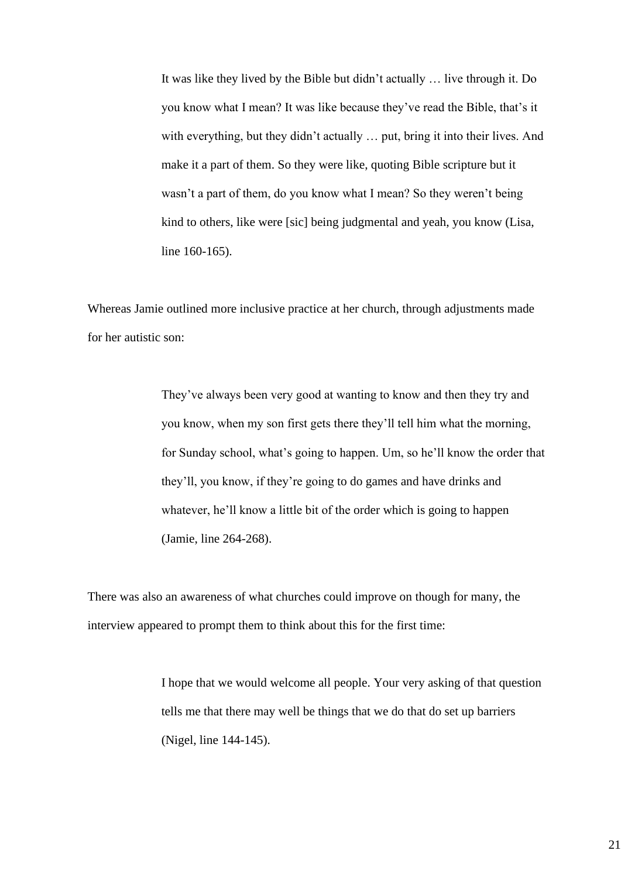It was like they lived by the Bible but didn't actually … live through it. Do you know what I mean? It was like because they've read the Bible, that's it with everything, but they didn't actually ... put, bring it into their lives. And make it a part of them. So they were like, quoting Bible scripture but it wasn't a part of them, do you know what I mean? So they weren't being kind to others, like were [sic] being judgmental and yeah, you know (Lisa, line 160-165).

Whereas Jamie outlined more inclusive practice at her church, through adjustments made for her autistic son:

> They've always been very good at wanting to know and then they try and you know, when my son first gets there they'll tell him what the morning, for Sunday school, what's going to happen. Um, so he'll know the order that they'll, you know, if they're going to do games and have drinks and whatever, he'll know a little bit of the order which is going to happen (Jamie, line 264-268).

There was also an awareness of what churches could improve on though for many, the interview appeared to prompt them to think about this for the first time:

> I hope that we would welcome all people. Your very asking of that question tells me that there may well be things that we do that do set up barriers (Nigel, line 144-145).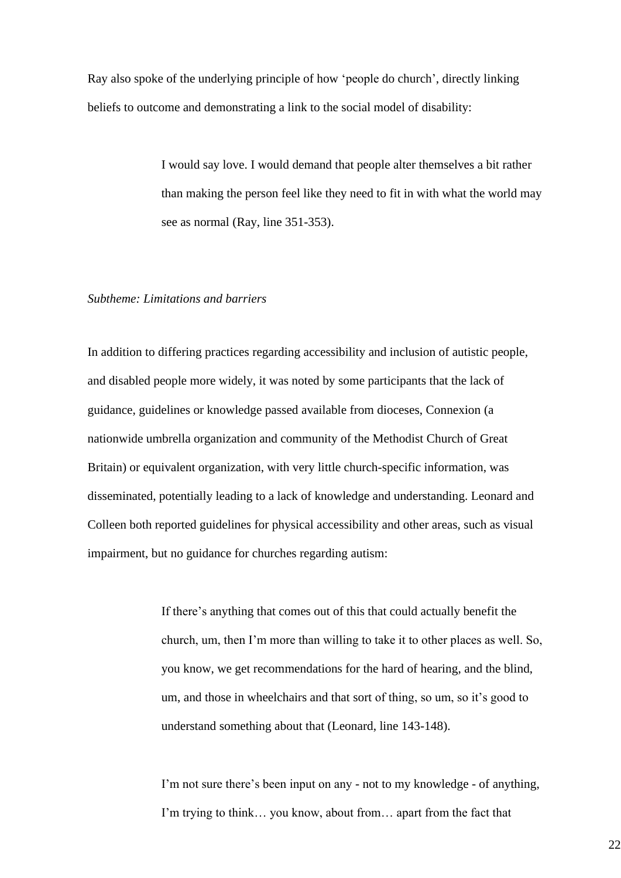Ray also spoke of the underlying principle of how 'people do church', directly linking beliefs to outcome and demonstrating a link to the social model of disability:

> I would say love. I would demand that people alter themselves a bit rather than making the person feel like they need to fit in with what the world may see as normal (Ray, line 351-353).

#### *Subtheme: Limitations and barriers*

In addition to differing practices regarding accessibility and inclusion of autistic people, and disabled people more widely, it was noted by some participants that the lack of guidance, guidelines or knowledge passed available from dioceses, Connexion (a nationwide umbrella organization and community of the Methodist Church of Great Britain) or equivalent organization, with very little church-specific information, was disseminated, potentially leading to a lack of knowledge and understanding. Leonard and Colleen both reported guidelines for physical accessibility and other areas, such as visual impairment, but no guidance for churches regarding autism:

> If there's anything that comes out of this that could actually benefit the church, um, then I'm more than willing to take it to other places as well. So, you know, we get recommendations for the hard of hearing, and the blind, um, and those in wheelchairs and that sort of thing, so um, so it's good to understand something about that (Leonard, line 143-148).

I'm not sure there's been input on any - not to my knowledge - of anything, I'm trying to think… you know, about from… apart from the fact that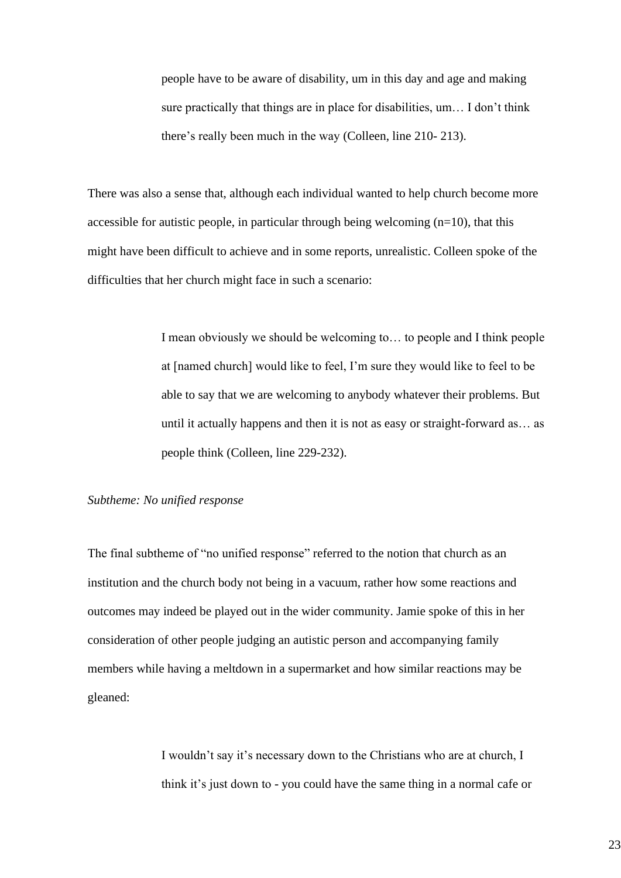people have to be aware of disability, um in this day and age and making sure practically that things are in place for disabilities, um… I don't think there's really been much in the way (Colleen, line 210- 213).

There was also a sense that, although each individual wanted to help church become more accessible for autistic people, in particular through being welcoming  $(n=10)$ , that this might have been difficult to achieve and in some reports, unrealistic. Colleen spoke of the difficulties that her church might face in such a scenario:

> I mean obviously we should be welcoming to… to people and I think people at [named church] would like to feel, I'm sure they would like to feel to be able to say that we are welcoming to anybody whatever their problems. But until it actually happens and then it is not as easy or straight-forward as… as people think (Colleen, line 229-232).

#### *Subtheme: No unified response*

The final subtheme of "no unified response" referred to the notion that church as an institution and the church body not being in a vacuum, rather how some reactions and outcomes may indeed be played out in the wider community. Jamie spoke of this in her consideration of other people judging an autistic person and accompanying family members while having a meltdown in a supermarket and how similar reactions may be gleaned:

> I wouldn't say it's necessary down to the Christians who are at church, I think it's just down to - you could have the same thing in a normal cafe or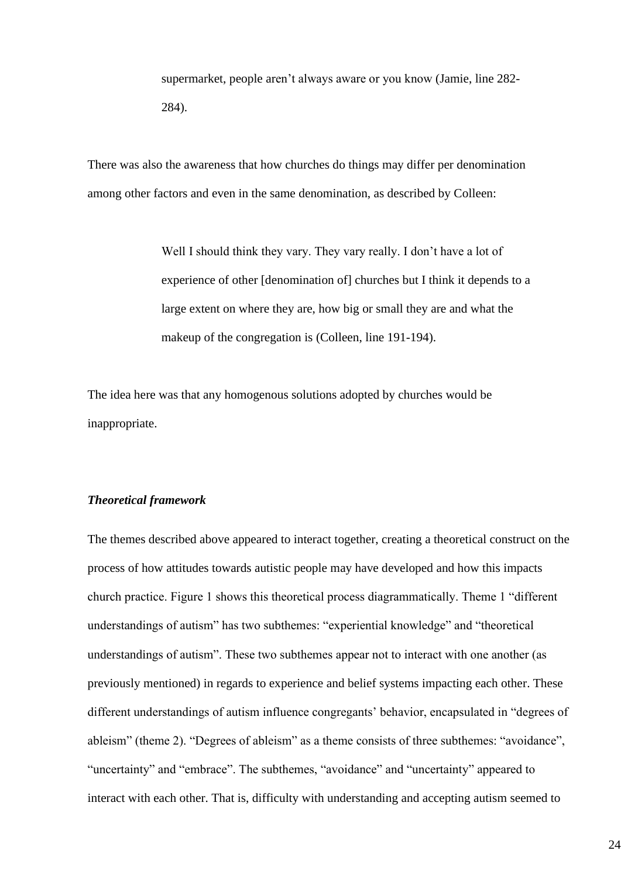supermarket, people aren't always aware or you know (Jamie, line 282- 284).

There was also the awareness that how churches do things may differ per denomination among other factors and even in the same denomination, as described by Colleen:

> Well I should think they vary. They vary really. I don't have a lot of experience of other [denomination of] churches but I think it depends to a large extent on where they are, how big or small they are and what the makeup of the congregation is (Colleen, line 191-194).

The idea here was that any homogenous solutions adopted by churches would be inappropriate.

#### *Theoretical framework*

The themes described above appeared to interact together, creating a theoretical construct on the process of how attitudes towards autistic people may have developed and how this impacts church practice. Figure 1 shows this theoretical process diagrammatically. Theme 1 "different understandings of autism" has two subthemes: "experiential knowledge" and "theoretical understandings of autism". These two subthemes appear not to interact with one another (as previously mentioned) in regards to experience and belief systems impacting each other. These different understandings of autism influence congregants' behavior, encapsulated in "degrees of ableism" (theme 2). "Degrees of ableism" as a theme consists of three subthemes: "avoidance", "uncertainty" and "embrace". The subthemes, "avoidance" and "uncertainty" appeared to interact with each other. That is, difficulty with understanding and accepting autism seemed to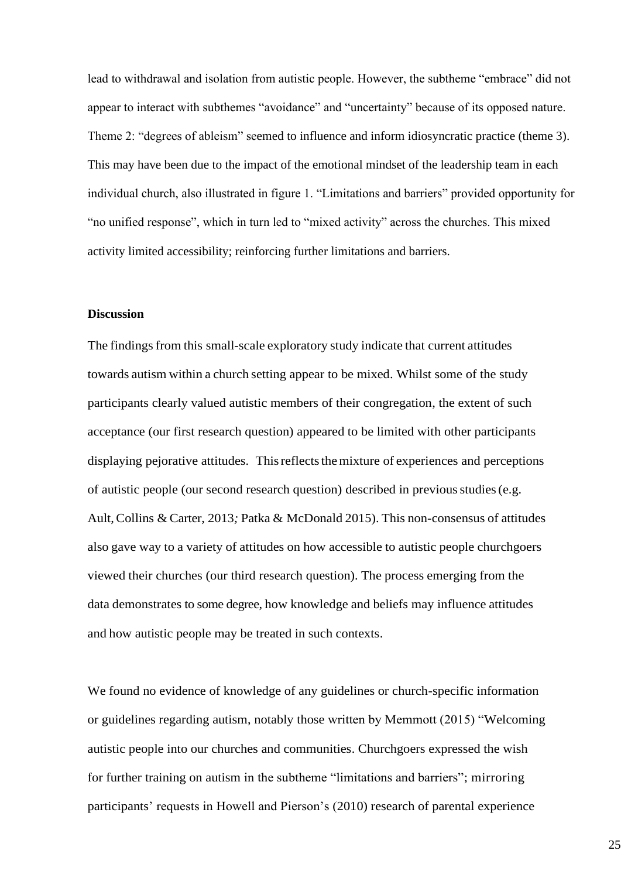lead to withdrawal and isolation from autistic people. However, the subtheme "embrace" did not appear to interact with subthemes "avoidance" and "uncertainty" because of its opposed nature. Theme 2: "degrees of ableism" seemed to influence and inform idiosyncratic practice (theme 3). This may have been due to the impact of the emotional mindset of the leadership team in each individual church, also illustrated in figure 1. "Limitations and barriers" provided opportunity for "no unified response", which in turn led to "mixed activity" across the churches. This mixed activity limited accessibility; reinforcing further limitations and barriers.

#### **Discussion**

The findings from this small-scale exploratory study indicate that current attitudes towards autism within a church setting appear to be mixed. Whilst some of the study participants clearly valued autistic members of their congregation, the extent of such acceptance (our first research question) appeared to be limited with other participants displaying pejorative attitudes. This reflects the mixture of experiences and perceptions of autistic people (our second research question) described in previousstudies(e.g. Ault,Collins & Carter, 2013*;* Patka & McDonald 2015). This non-consensus of attitudes also gave way to a variety of attitudes on how accessible to autistic people churchgoers viewed their churches (our third research question). The process emerging from the data demonstrates to some degree, how knowledge and beliefs may influence attitudes and how autistic people may be treated in such contexts.

We found no evidence of knowledge of any guidelines or church-specific information or guidelines regarding autism, notably those written by Memmott (2015) "Welcoming autistic people into our churches and communities. Churchgoers expressed the wish for further training on autism in the subtheme "limitations and barriers"; mirroring participants' requests in Howell and Pierson's (2010) research of parental experience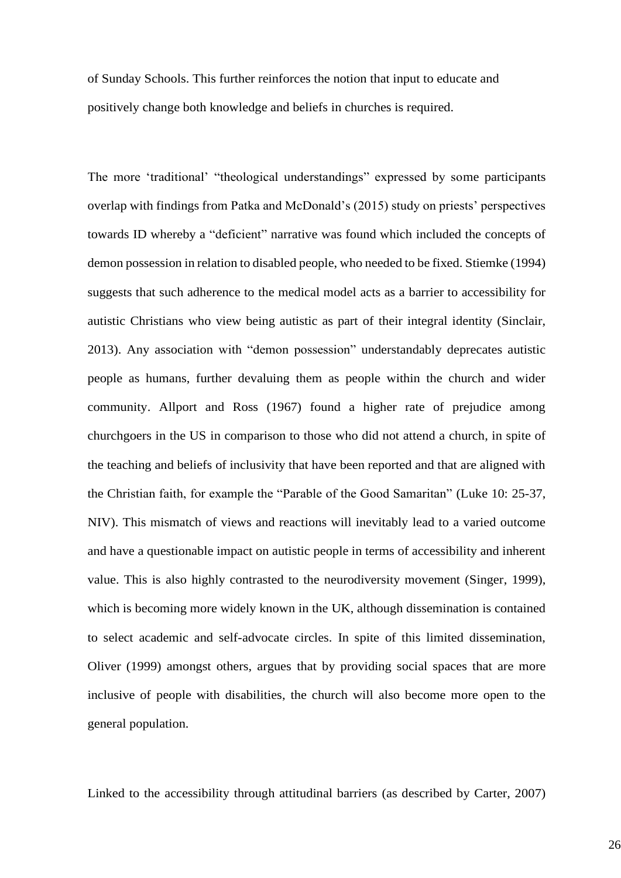of Sunday Schools. This further reinforces the notion that input to educate and positively change both knowledge and beliefs in churches is required.

The more 'traditional' "theological understandings" expressed by some participants overlap with findings from Patka and McDonald's (2015) study on priests' perspectives towards ID whereby a "deficient" narrative was found which included the concepts of demon possession in relation to disabled people, who needed to be fixed. Stiemke (1994) suggests that such adherence to the medical model acts as a barrier to accessibility for autistic Christians who view being autistic as part of their integral identity (Sinclair, 2013). Any association with "demon possession" understandably deprecates autistic people as humans, further devaluing them as people within the church and wider community. Allport and Ross (1967) found a higher rate of prejudice among churchgoers in the US in comparison to those who did not attend a church, in spite of the teaching and beliefs of inclusivity that have been reported and that are aligned with the Christian faith, for example the "Parable of the Good Samaritan" (Luke 10: 25-37, NIV). This mismatch of views and reactions will inevitably lead to a varied outcome and have a questionable impact on autistic people in terms of accessibility and inherent value. This is also highly contrasted to the neurodiversity movement (Singer, 1999), which is becoming more widely known in the UK, although dissemination is contained to select academic and self-advocate circles. In spite of this limited dissemination, Oliver (1999) amongst others, argues that by providing social spaces that are more inclusive of people with disabilities, the church will also become more open to the general population.

Linked to the accessibility through attitudinal barriers (as described by Carter, 2007)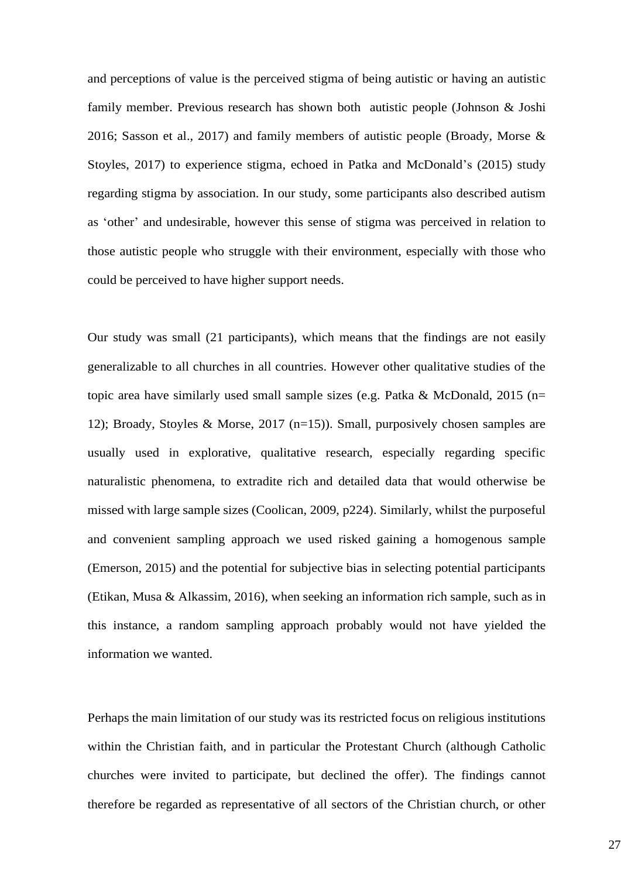and perceptions of value is the perceived stigma of being autistic or having an autistic family member. Previous research has shown both autistic people (Johnson & Joshi 2016; Sasson et al., 2017) and family members of autistic people (Broady, Morse  $\&$ Stoyles, 2017) to experience stigma, echoed in Patka and McDonald's (2015) study regarding stigma by association. In our study, some participants also described autism as 'other' and undesirable, however this sense of stigma was perceived in relation to those autistic people who struggle with their environment, especially with those who could be perceived to have higher support needs.

Our study was small (21 participants), which means that the findings are not easily generalizable to all churches in all countries. However other qualitative studies of the topic area have similarly used small sample sizes (e.g. Patka & McDonald, 2015 ( $n=$ 12); Broady, Stoyles & Morse, 2017 (n=15)). Small, purposively chosen samples are usually used in explorative, qualitative research, especially regarding specific naturalistic phenomena, to extradite rich and detailed data that would otherwise be missed with large sample sizes (Coolican, 2009, p224). Similarly, whilst the purposeful and convenient sampling approach we used risked gaining a homogenous sample (Emerson, 2015) and the potential for subjective bias in selecting potential participants (Etikan, Musa & Alkassim, 2016), when seeking an information rich sample, such as in this instance, a random sampling approach probably would not have yielded the information we wanted.

Perhaps the main limitation of our study was its restricted focus on religious institutions within the Christian faith, and in particular the Protestant Church (although Catholic churches were invited to participate, but declined the offer). The findings cannot therefore be regarded as representative of all sectors of the Christian church, or other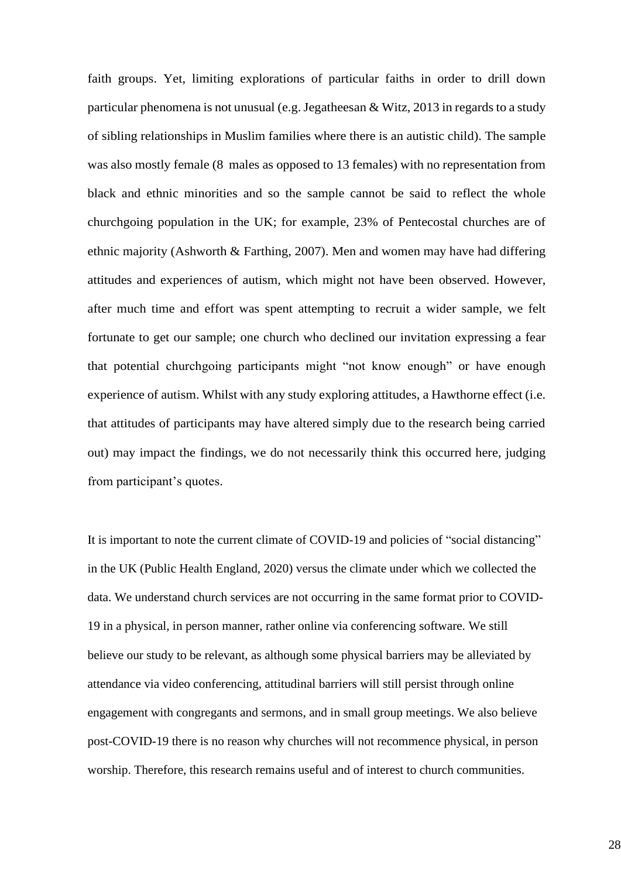faith groups. Yet, limiting explorations of particular faiths in order to drill down particular phenomena is not unusual (e.g. Jegatheesan & Witz, 2013 in regards to a study of sibling relationships in Muslim families where there is an autistic child). The sample was also mostly female (8 males as opposed to 13 females) with no representation from black and ethnic minorities and so the sample cannot be said to reflect the whole churchgoing population in the UK; for example, 23% of Pentecostal churches are of ethnic majority (Ashworth & Farthing, 2007). Men and women may have had differing attitudes and experiences of autism, which might not have been observed. However, after much time and effort was spent attempting to recruit a wider sample, we felt fortunate to get our sample; one church who declined our invitation expressing a fear that potential churchgoing participants might "not know enough" or have enough experience of autism. Whilst with any study exploring attitudes, a Hawthorne effect (i.e. that attitudes of participants may have altered simply due to the research being carried out) may impact the findings, we do not necessarily think this occurred here, judging from participant's quotes.

It is important to note the current climate of COVID-19 and policies of "social distancing" in the UK (Public Health England, 2020) versus the climate under which we collected the data. We understand church services are not occurring in the same format prior to COVID-19 in a physical, in person manner, rather online via conferencing software. We still believe our study to be relevant, as although some physical barriers may be alleviated by attendance via video conferencing, attitudinal barriers will still persist through online engagement with congregants and sermons, and in small group meetings. We also believe post-COVID-19 there is no reason why churches will not recommence physical, in person worship. Therefore, this research remains useful and of interest to church communities.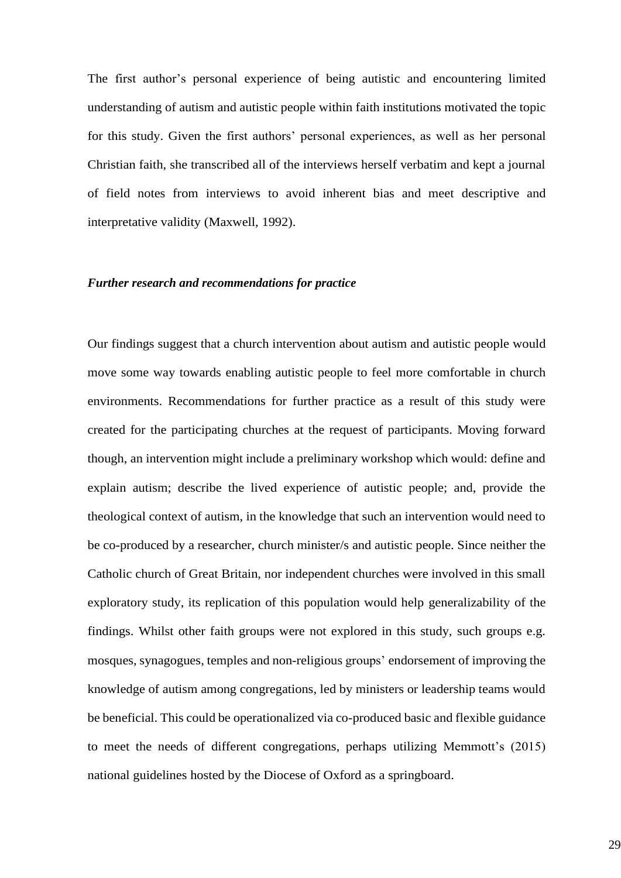The first author's personal experience of being autistic and encountering limited understanding of autism and autistic people within faith institutions motivated the topic for this study. Given the first authors' personal experiences, as well as her personal Christian faith, she transcribed all of the interviews herself verbatim and kept a journal of field notes from interviews to avoid inherent bias and meet descriptive and interpretative validity (Maxwell, 1992).

#### *Further research and recommendations for practice*

Our findings suggest that a church intervention about autism and autistic people would move some way towards enabling autistic people to feel more comfortable in church environments. Recommendations for further practice as a result of this study were created for the participating churches at the request of participants. Moving forward though, an intervention might include a preliminary workshop which would: define and explain autism; describe the lived experience of autistic people; and, provide the theological context of autism, in the knowledge that such an intervention would need to be co-produced by a researcher, church minister/s and autistic people. Since neither the Catholic church of Great Britain, nor independent churches were involved in this small exploratory study, its replication of this population would help generalizability of the findings. Whilst other faith groups were not explored in this study, such groups e.g. mosques, synagogues, temples and non-religious groups' endorsement of improving the knowledge of autism among congregations, led by ministers or leadership teams would be beneficial. This could be operationalized via co-produced basic and flexible guidance to meet the needs of different congregations, perhaps utilizing Memmott's (2015) national guidelines hosted by the Diocese of Oxford as a springboard.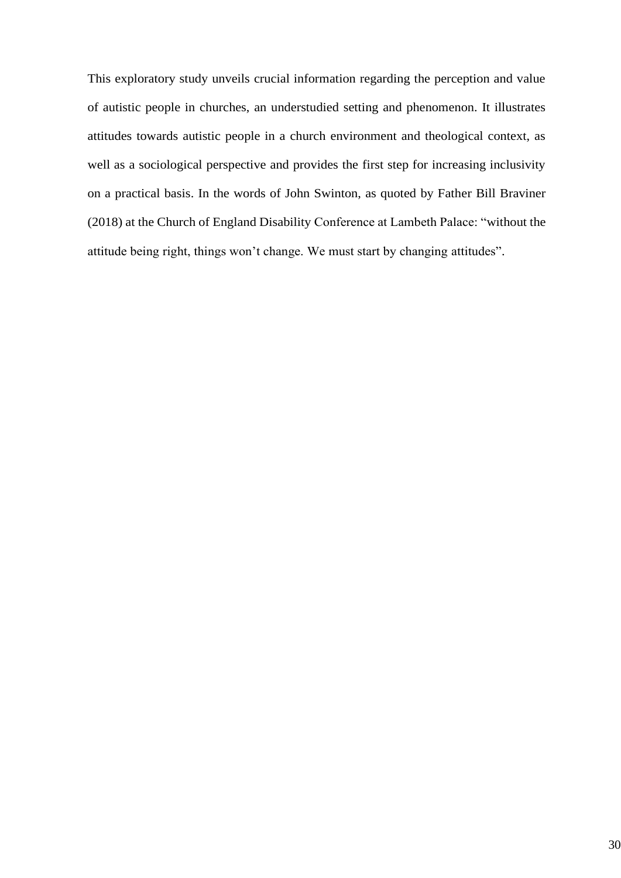This exploratory study unveils crucial information regarding the perception and value of autistic people in churches, an understudied setting and phenomenon. It illustrates attitudes towards autistic people in a church environment and theological context, as well as a sociological perspective and provides the first step for increasing inclusivity on a practical basis. In the words of John Swinton, as quoted by Father Bill Braviner (2018) at the Church of England Disability Conference at Lambeth Palace: "without the attitude being right, things won't change. We must start by changing attitudes".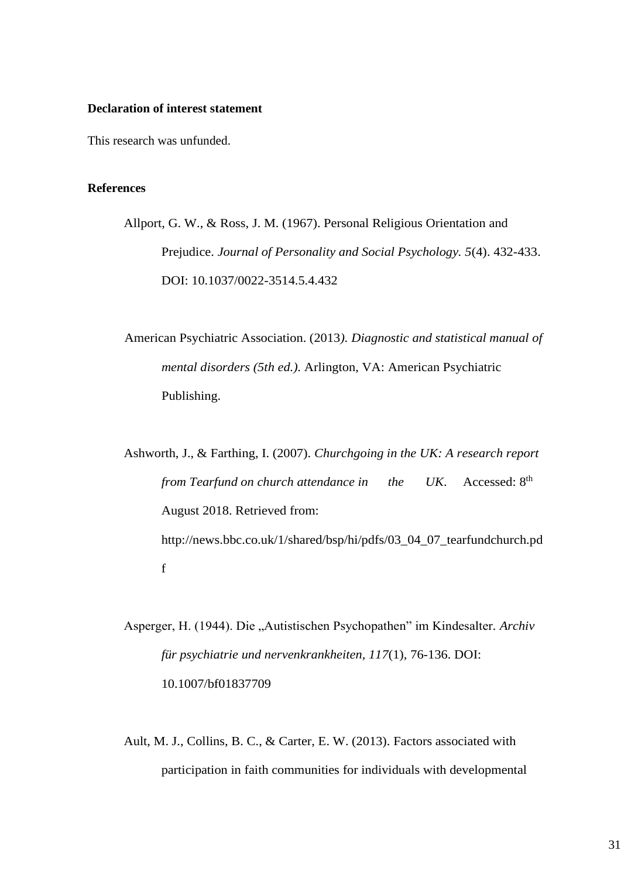#### **Declaration of interest statement**

This research was unfunded.

#### **References**

- Allport, G. W., & Ross, J. M. (1967). Personal Religious Orientation and Prejudice. *Journal of Personality and Social Psychology. 5*(4). 432-433. DOI: 10.1037/0022-3514.5.4.432
- American Psychiatric Association. (2013*). Diagnostic and statistical manual of mental disorders (5th ed.).* Arlington, VA: American Psychiatric Publishing.
- Ashworth, J., & Farthing, I. (2007). *Churchgoing in the UK: A research report from Tearfund on church attendance in the UK*. Accessed: 8th August 2018. Retrieved from: [http://news.bbc.co.uk/1/shared/bsp/hi/pdfs/03\\_04\\_07\\_tearfundchurch.pd](http://news.bbc.co.uk/1/shared/bsp/hi/pdfs/03_04_07_tearfundchurch.pdf) [f](http://news.bbc.co.uk/1/shared/bsp/hi/pdfs/03_04_07_tearfundchurch.pdf)
- Asperger, H. (1944). Die "Autistischen Psychopathen" im Kindesalter. Archiv *für psychiatrie und nervenkrankheiten, 117*(1), 76-136. DOI: 10.1007/bf01837709
- Ault, M. J., Collins, B. C., & Carter, E. W. (2013). Factors associated with participation in faith communities for individuals with developmental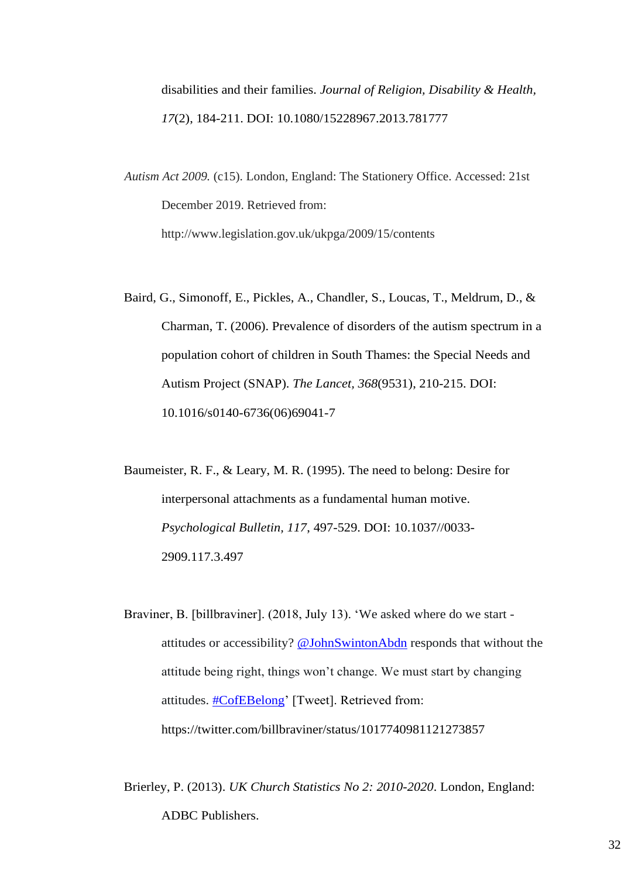disabilities and their families. *Journal of Religion, Disability & Health, 17*(2), 184-211. DOI: 10.1080/15228967.2013.781777

*Autism Act 2009.* (c15). London, England: The Stationery Office. Accessed: 21st December 2019. Retrieved from: http://www.legislation.gov.uk/ukpga/2009/15/contents

Baird, G., Simonoff, E., Pickles, A., Chandler, S., Loucas, T., Meldrum, D., & Charman, T. (2006). Prevalence of disorders of the autism spectrum in a population cohort of children in South Thames: the Special Needs and Autism Project (SNAP). *The Lancet, 368*(9531), 210-215. DOI: 10.1016/s0140-6736(06)69041-7

Baumeister, R. F., & Leary, M. R. (1995). The need to belong: Desire for interpersonal attachments as a fundamental human motive. *Psychological Bulletin, 117*, 497-529. DOI: 10.1037//0033- 2909.117.3.497

Braviner, B. [billbraviner]. (2018, July 13). 'We asked where do we start attitudes or accessibility? @JohnSwintonAbdn responds that without the attitude being right, things won't change. We must start by changing attitudes. **#CofEBelong**' [Tweet]. Retrieved from: https://twitter.com/billbraviner/status/1017740981121273857

Brierley, P. (2013). *UK Church Statistics No 2: 2010-2020*. London, England: ADBC Publishers.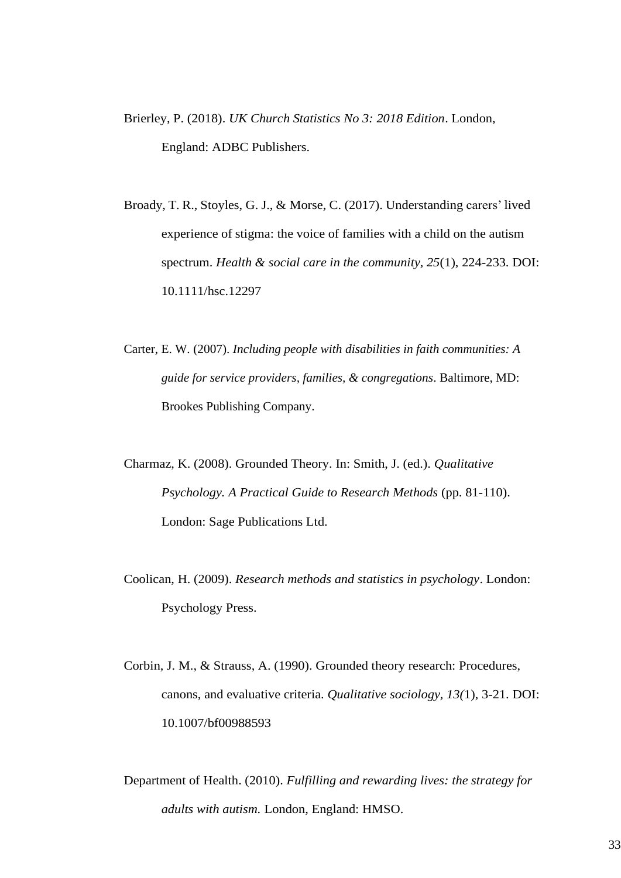- Brierley, P. (2018). *UK Church Statistics No 3: 2018 Edition*. London, England: ADBC Publishers.
- Broady, T. R., Stoyles, G. J., & Morse, C. (2017). Understanding carers' lived experience of stigma: the voice of families with a child on the autism spectrum. *Health & social care in the community, 25*(1), 224-233. DOI: 10.1111/hsc.12297
- Carter, E. W. (2007). *Including people with disabilities in faith communities: A guide for service providers, families, & congregations*. Baltimore, MD: Brookes Publishing Company.
- Charmaz, K. (2008). Grounded Theory. In: Smith, J. (ed.). *Qualitative Psychology. A Practical Guide to Research Methods* (pp. 81-110). London: Sage Publications Ltd.
- Coolican, H. (2009). *Research methods and statistics in psychology*. London: Psychology Press.
- Corbin, J. M., & Strauss, A. (1990). Grounded theory research: Procedures, canons, and evaluative criteria. *Qualitative sociology, 13(*1), 3-21. DOI: 10.1007/bf00988593
- Department of Health. (2010). *Fulfilling and rewarding lives: the strategy for adults with autism.* London, England: HMSO.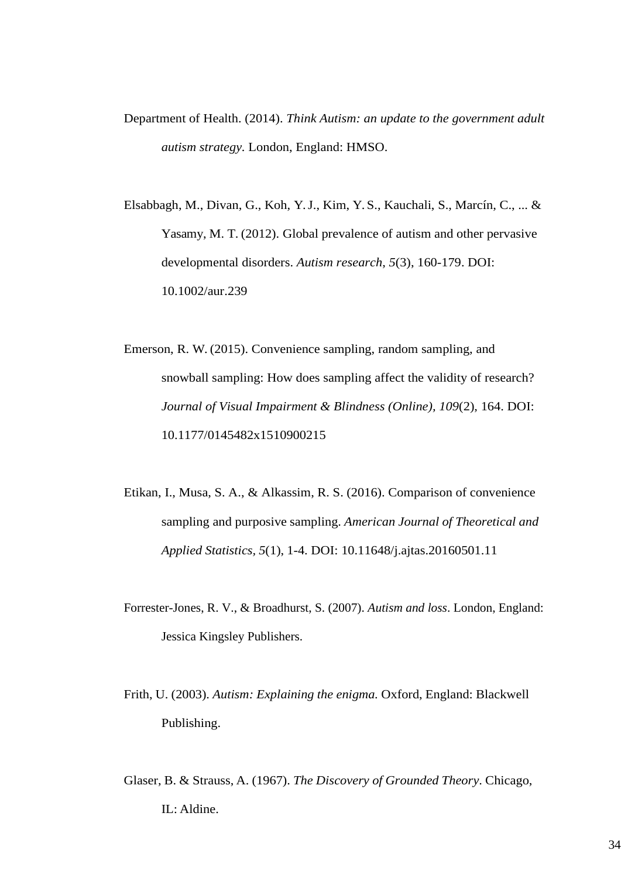- Department of Health. (2014). *Think Autism: an update to the government adult autism strategy.* London, England: HMSO.
- Elsabbagh, M., Divan, G., Koh, Y. J., Kim, Y. S., Kauchali, S., Marcín, C., ... & Yasamy, M. T. (2012). Global prevalence of autism and other pervasive developmental disorders. *Autism research*, *5*(3), 160-179. DOI: 10.1002/aur.239
- Emerson, R. W. (2015). Convenience sampling, random sampling, and snowball sampling: How does sampling affect the validity of research? *Journal of Visual Impairment & Blindness (Online), 109*(2), 164. DOI: 10.1177/0145482x1510900215
- Etikan, I., Musa, S. A., & Alkassim, R. S. (2016). Comparison of convenience sampling and purposive sampling. *American Journal of Theoretical and Applied Statistics, 5*(1), 1-4. DOI: 10.11648/j.ajtas.20160501.11
- Forrester-Jones, R. V., & Broadhurst, S. (2007). *Autism and loss*. London, England: Jessica Kingsley Publishers.
- Frith, U. (2003). *Autism: Explaining the enigma.* Oxford, England: Blackwell Publishing.
- Glaser, B. & Strauss, A. (1967). *The Discovery of Grounded Theory*. Chicago, IL: Aldine.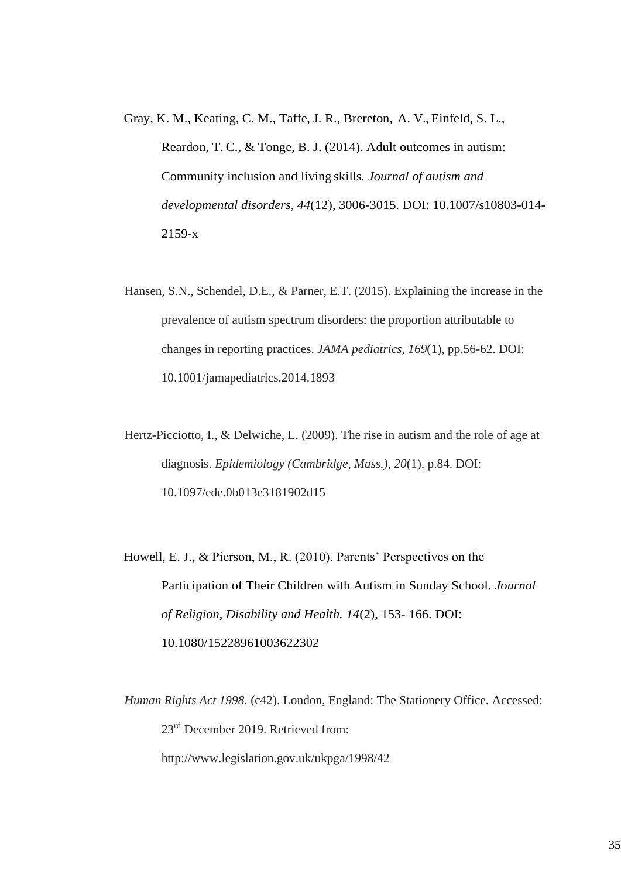- Gray, K. M., Keating, C. M., Taffe, J. R., Brereton, A. V., Einfeld, S. L., Reardon, T. C., & Tonge, B. J. (2014). Adult outcomes in autism: Community inclusion and living skills*. Journal of autism and developmental disorders, 44*(12), 3006-3015. DOI: 10.1007/s10803-014- 2159-x
- Hansen, S.N., Schendel, D.E., & Parner, E.T. (2015). Explaining the increase in the prevalence of autism spectrum disorders: the proportion attributable to changes in reporting practices. *JAMA pediatrics*, *169*(1), pp.56-62. DOI: 10.1001/jamapediatrics.2014.1893
- Hertz-Picciotto, I., & Delwiche, L. (2009). The rise in autism and the role of age at diagnosis. *Epidemiology (Cambridge, Mass.)*, *20*(1), p.84. DOI: 10.1097/ede.0b013e3181902d15
- Howell, E. J., & Pierson, M., R. (2010). Parents' Perspectives on the Participation of Their Children with Autism in Sunday School. *Journal of Religion, Disability and Health. 14*(2), 153- 166. DOI: 10.1080/15228961003622302
- *Human Rights Act 1998.* (c42). London, England: The Stationery Office. Accessed: 23rd December 2019. Retrieved from:
	- http://www.legislation.gov.uk/ukpga/1998/42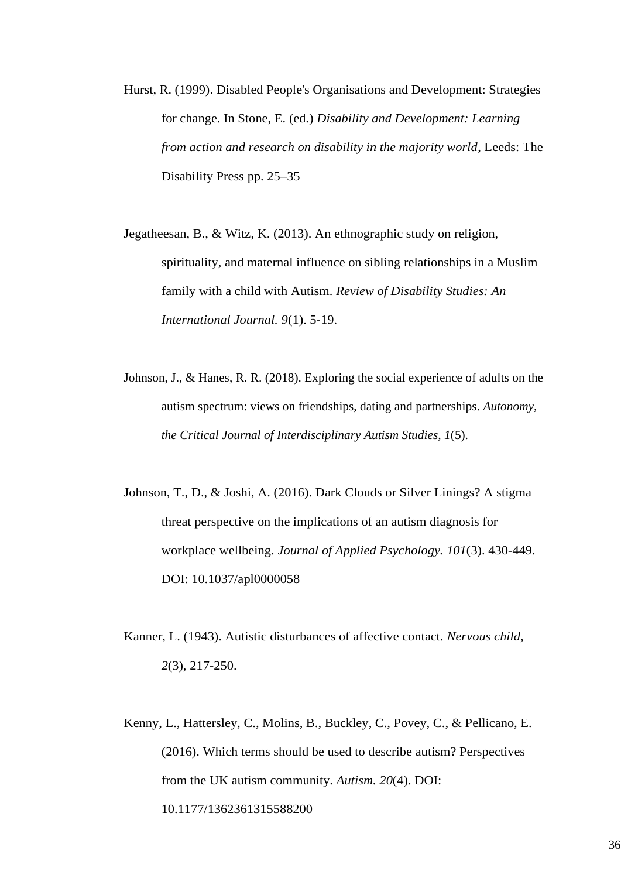- Hurst, R. (1999). Disabled People's Organisations and Development: Strategies for change. In Stone, E. (ed.) *Disability and Development: Learning from action and research on disability in the majority world*, Leeds: The Disability Press pp. 25–35
- Jegatheesan, B., & Witz, K. (2013). An ethnographic study on religion, spirituality, and maternal influence on sibling relationships in a Muslim family with a child with Autism. *Review of Disability Studies: An International Journal. 9*(1). 5-19.
- Johnson, J., & Hanes, R. R. (2018). Exploring the social experience of adults on the autism spectrum: views on friendships, dating and partnerships. *Autonomy, the Critical Journal of Interdisciplinary Autism Studies, 1*(5).
- Johnson, T., D., & Joshi, A. (2016). Dark Clouds or Silver Linings? A stigma threat perspective on the implications of an autism diagnosis for workplace wellbeing. *Journal of Applied Psychology. 101*(3). 430-449. DOI: 10.1037/apl0000058
- Kanner, L. (1943). Autistic disturbances of affective contact*. Nervous child, 2*(3), 217-250.
- Kenny, L., Hattersley, C., Molins, B., Buckley, C., Povey, C., & Pellicano, E. (2016). Which terms should be used to describe autism? Perspectives from the UK autism community. *Autism. 20*(4). DOI: 10.1177/1362361315588200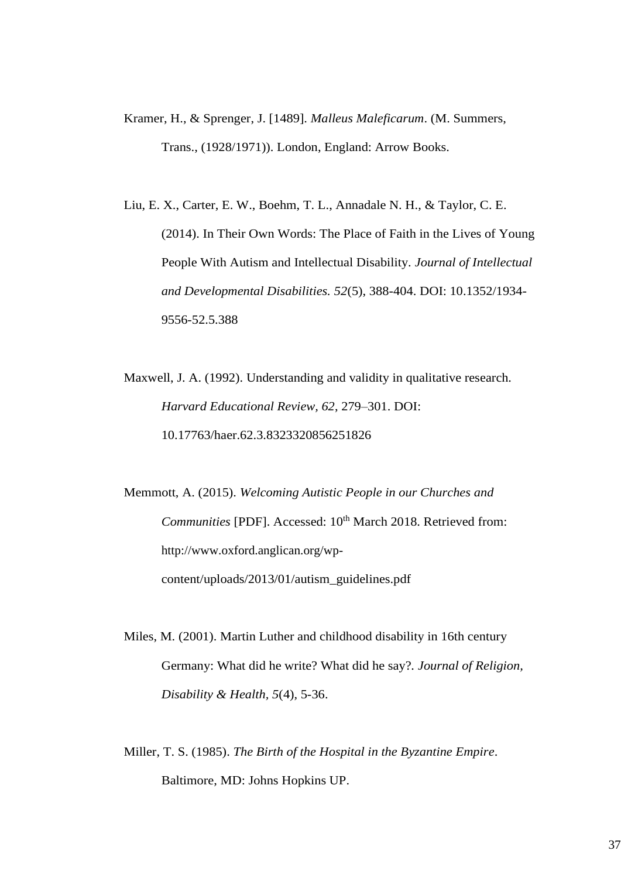- Kramer, H., & Sprenger, J. [1489]. *Malleus Maleficarum*. (M. Summers, Trans., (1928/1971)). London, England: Arrow Books.
- Liu, E. X., Carter, E. W., Boehm, T. L., Annadale N. H., & Taylor, C. E. (2014). In Their Own Words: The Place of Faith in the Lives of Young People With Autism and Intellectual Disability. *Journal of Intellectual and Developmental Disabilities. 52*(5), 388-404. DOI: 10.1352/1934- 9556-52.5.388
- Maxwell, J. A. (1992). Understanding and validity in qualitative research. *Harvard Educational Review, 62*, 279–301. DOI: 10.17763/haer.62.3.8323320856251826
- Memmott, A. (2015). *Welcoming Autistic People in our Churches and Communities* [PDF]. Accessed: 10<sup>th</sup> March 2018. Retrieved from: [http://www.oxford.anglican.org/wp](http://www.oxford.anglican.org/wp-)content/uploads/2013/01/autism\_guidelines.pdf
- Miles, M. (2001). Martin Luther and childhood disability in 16th century Germany: What did he write? What did he say?*. Journal of Religion, Disability & Health, 5*(4), 5-36.
- Miller, T. S. (1985). *The Birth of the Hospital in the Byzantine Empire*. Baltimore, MD: Johns Hopkins UP.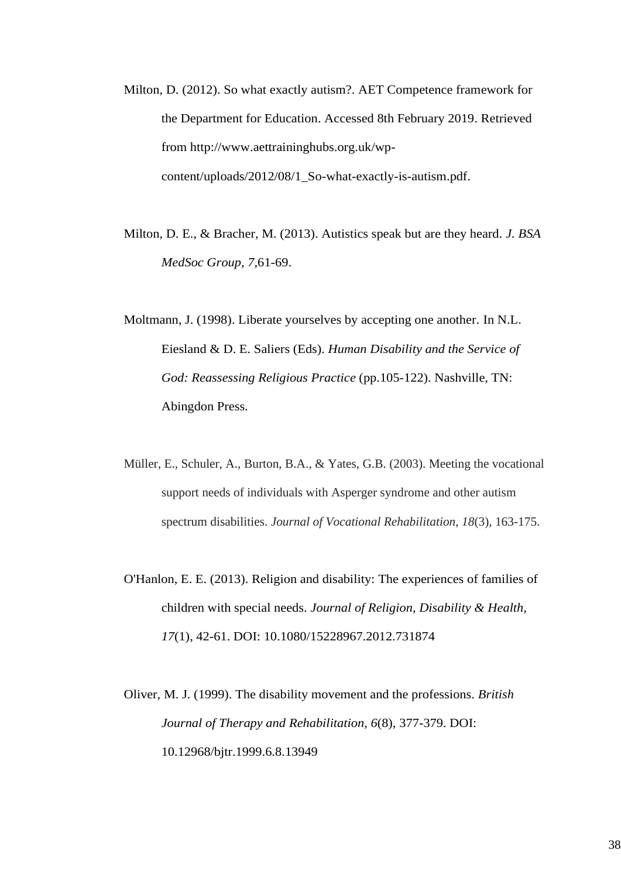- Milton, D. (2012). So what exactly autism?. AET Competence framework for the Department for Education. Accessed 8th February 2019. Retrieved from http://www.aettraininghubs.org.uk/wpcontent/uploads/2012/08/1\_So-what-exactly-is-autism.pdf.
- Milton, D. E., & Bracher, M. (2013). Autistics speak but are they heard. *J. BSA MedSoc Group, 7,*61-69.
- Moltmann, J. (1998). Liberate yourselves by accepting one another. In N.L. Eiesland & D. E. Saliers (Eds). *Human Disability and the Service of God: Reassessing Religious Practice* (pp.105-122). Nashville, TN: Abingdon Press.
- Müller, E., Schuler, A., Burton, B.A., & Yates, G.B. (2003). Meeting the vocational support needs of individuals with Asperger syndrome and other autism spectrum disabilities. *Journal of Vocational Rehabilitation*, *18*(3), 163-175.
- O'Hanlon, E. E. (2013). Religion and disability: The experiences of families of children with special needs. *Journal of Religion, Disability & Health, 17*(1), 42-61. DOI: 10.1080/15228967.2012.731874
- Oliver, M. J. (1999). The disability movement and the professions. *British Journal of Therapy and Rehabilitation, 6*(8), 377-379. DOI: 10.12968/bjtr.1999.6.8.13949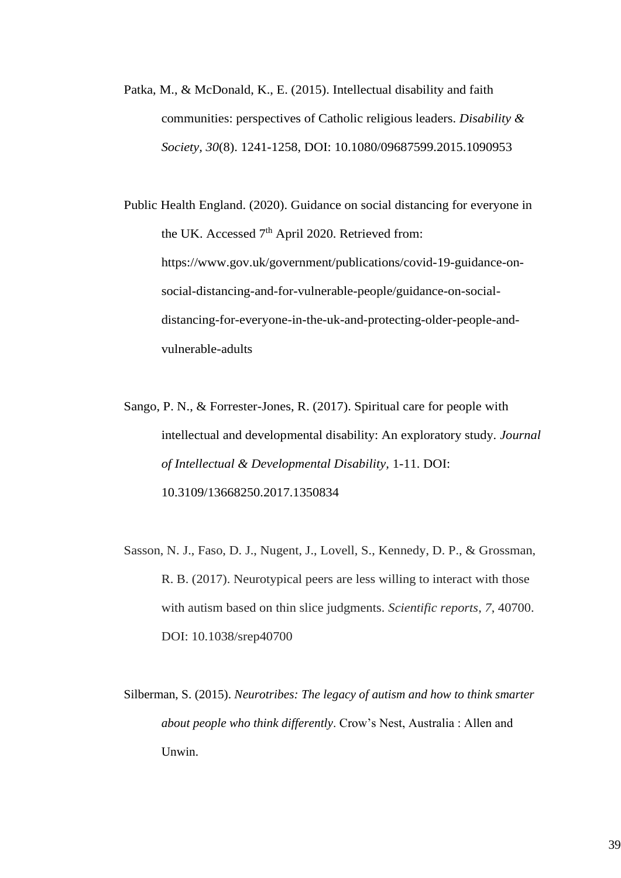- Patka, M., & McDonald, K., E. (2015). Intellectual disability and faith communities: perspectives of Catholic religious leaders. *Disability & Society, 30*(8). 1241-1258, DOI: 10.1080/09687599.2015.1090953
- Public Health England. (2020). Guidance on social distancing for everyone in the UK. Accessed  $7<sup>th</sup>$  April 2020. Retrieved from: https://www.gov.uk/government/publications/covid-19-guidance-onsocial-distancing-and-for-vulnerable-people/guidance-on-socialdistancing-for-everyone-in-the-uk-and-protecting-older-people-andvulnerable-adults
- Sango, P. N., & Forrester-Jones, R. (2017). Spiritual care for people with intellectual and developmental disability: An exploratory study. *Journal of Intellectual & Developmental Disability,* 1-11. DOI: 10.3109/13668250.2017.1350834
- Sasson, N. J., Faso, D. J., Nugent, J., Lovell, S., Kennedy, D. P., & Grossman, R. B. (2017). Neurotypical peers are less willing to interact with those with autism based on thin slice judgments. *Scientific reports*, *7*, 40700. DOI: 10.1038/srep40700
- Silberman, S. (2015). *Neurotribes: The legacy of autism and how to think smarter about people who think differently*. Crow's Nest, Australia : Allen and Unwin.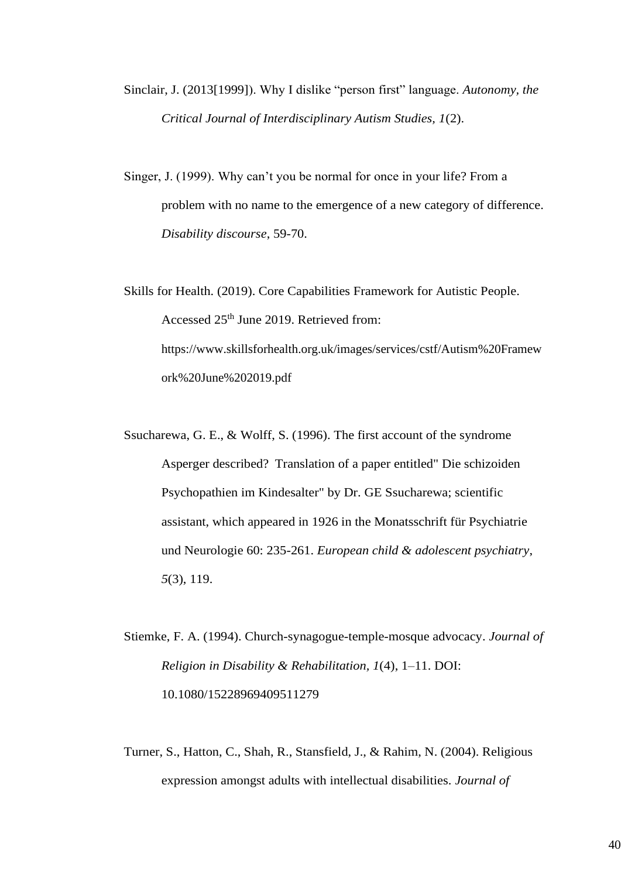- Sinclair, J. (2013[1999]). Why I dislike "person first" language. *Autonomy, the Critical Journal of Interdisciplinary Autism Studies, 1*(2).
- Singer, J. (1999). Why can't you be normal for once in your life? From a problem with no name to the emergence of a new category of difference. *Disability discourse*, 59-70.

Skills for Health. (2019). Core Capabilities Framework for Autistic People. Accessed 25th June 2019. Retrieved from: https://www.skillsforhealth.org.uk/images/services/cstf/Autism%20Framew ork%20June%202019.pdf

- Ssucharewa, G. E., & Wolff, S. (1996). The first account of the syndrome Asperger described? Translation of a paper entitled" Die schizoiden Psychopathien im Kindesalter" by Dr. GE Ssucharewa; scientific assistant, which appeared in 1926 in the Monatsschrift für Psychiatrie und Neurologie 60: 235-261. *European child & adolescent psychiatry*, *5*(3), 119.
- Stiemke, F. A. (1994). Church-synagogue-temple-mosque advocacy. *Journal of Religion in Disability & Rehabilitation, 1*(4), 1–11. DOI: 10.1080/15228969409511279
- Turner, S., Hatton, C., Shah, R., Stansfield, J., & Rahim, N. (2004). Religious expression amongst adults with intellectual disabilities. *Journal of*